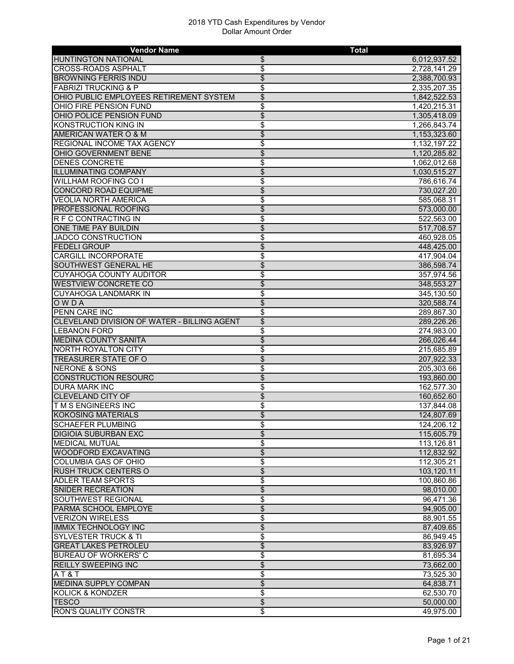| <b>Vendor Name</b>                          |                 | <b>Total</b> |
|---------------------------------------------|-----------------|--------------|
| <b>HUNTINGTON NATIONAL</b>                  | \$              | 6,012,937.52 |
| <b>CROSS-ROADS ASPHALT</b>                  | \$              | 2,728,141.29 |
| <b>BROWNING FERRIS INDU</b>                 | \$              | 2,388,700.93 |
| <b>FABRIZI TRUCKING &amp; P</b>             | \$              | 2,335,207.35 |
| OHIO PUBLIC EMPLOYEES RETIREMENT SYSTEM     | \$              | 1,842,522.53 |
| OHIO FIRE PENSION FUND                      | \$              | 1,420,215.31 |
| OHIO POLICE PENSION FUND                    | \$              | 1,305,418.09 |
| <b>KONSTRUCTION KING IN</b>                 | \$              | 1,266,843.74 |
| AMERICAN WATER O & M                        | \$              | 1,153,323.60 |
| <b>REGIONAL INCOME TAX AGENCY</b>           | \$              | 1,132,197.22 |
| <b>OHIO GOVERNMENT BENE</b>                 | \$              | 1,120,285.82 |
| <b>DENES CONCRETE</b>                       | \$              | 1,062,012.68 |
| <b>ILLUMINATING COMPANY</b>                 | $\overline{\$}$ |              |
|                                             |                 | 1,030,515.27 |
| <b>WILLHAM ROOFING CO I</b>                 | \$              | 786,616.74   |
| <b>CONCORD ROAD EQUIPME</b>                 | \$              | 730,027.20   |
| <b>VEOLIA NORTH AMERICA</b>                 | \$              | 585,068.31   |
| <b>PROFESSIONAL ROOFING</b>                 | \$              | 573,000.00   |
| <b>R F C CONTRACTING IN</b>                 | \$              | 522,563.00   |
| <b>ONE TIME PAY BUILDIN</b>                 | \$              | 517,708.57   |
| JADCO CONSTRUCTION                          | \$              | 460,928.05   |
| <b>FEDELI GROUP</b>                         | \$              | 448,425.00   |
| <b>CARGILL INCORPORATE</b>                  | \$              | 417,904.04   |
| <b>SOUTHWEST GENERAL HE</b>                 | \$              | 386,598.74   |
| <b>CUYAHOGA COUNTY AUDITOR</b>              | \$              | 357,974.56   |
| <b>WESTVIEW CONCRETE CO</b>                 | \$              | 348,553.27   |
| <b>CUYAHOGA LANDMARK IN</b>                 | \$              | 345,130.50   |
| <b>OWDA</b>                                 | \$              | 320,588.74   |
| PENN CARE INC                               | \$              | 289,867.30   |
| CLEVELAND DIVISION OF WATER - BILLING AGENT | \$              | 289,226.26   |
| <b>LEBANON FORD</b>                         | \$              | 274,983.00   |
| <b>MEDINA COUNTY SANITA</b>                 | \$              | 266,026.44   |
| <b>NORTH ROYALTON CITY</b>                  | \$              | 215,685.89   |
| TREASURER STATE OF O                        | \$              | 207,922.33   |
| <b>NERONE &amp; SONS</b>                    | \$              | 205,303.66   |
| <b>CONSTRUCTION RESOURC</b>                 | \$              | 193,860.00   |
| <b>DURA MARK INC</b>                        | \$              | 162,577.30   |
| <b>CLEVELAND CITY OF</b>                    | \$              |              |
|                                             |                 | 160,652.60   |
| <b>TMS ENGINEERS INC</b>                    | \$              | 137,844.08   |
| <b>KOKOSING MATERIALS</b>                   | \$              | 124,807.69   |
| SCHAEFER PLUMBING                           | \$              | 124,206.12   |
| <b>DIGIOIA SUBURBAN EXC</b>                 | \$              | 115,605.79   |
| <b>MEDICAL MUTUAL</b>                       | \$              | 113,126.81   |
| <b>WOODFORD EXCAVATING</b>                  | \$              | 112,832.92   |
| <b>COLUMBIA GAS OF OHIO</b>                 | \$              | 112,305.21   |
| <b>RUSH TRUCK CENTERS O</b>                 | \$              | 103,120.11   |
| <b>ADLER TEAM SPORTS</b>                    | \$              | 100,860.86   |
| <b>SNIDER RECREATION</b>                    | \$              | 98,010.00    |
| <b>SOUTHWEST REGIONAL</b>                   | \$              | 96,471.36    |
| PARMA SCHOOL EMPLOYE                        | \$              | 94,905.00    |
| <b>VERIZON WIRELESS</b>                     | \$              | 88,901.55    |
| <b>IMMIX TECHNOLOGY INC</b>                 | \$              | 87,409.65    |
| <b>SYLVESTER TRUCK &amp; TI</b>             | \$              | 86,949.45    |
| <b>GREAT LAKES PETROLEU</b>                 | \$              | 83,926.97    |
| <b>BUREAU OF WORKERS' C</b>                 | \$              | 81,695.34    |
| <b>REILLY SWEEPING INC</b>                  | \$              | 73,662.00    |
| AT&T                                        | \$              | 73,525.30    |
| <b>MEDINA SUPPLY COMPAN</b>                 | \$              | 64,838.71    |
| <b>KOLICK &amp; KONDZER</b>                 | \$              | 62,530.70    |
|                                             |                 |              |
| <b>TESCO</b>                                | \$              | 50,000.00    |
| <b>RON'S QUALITY CONSTR</b>                 | \$              | 49,975.00    |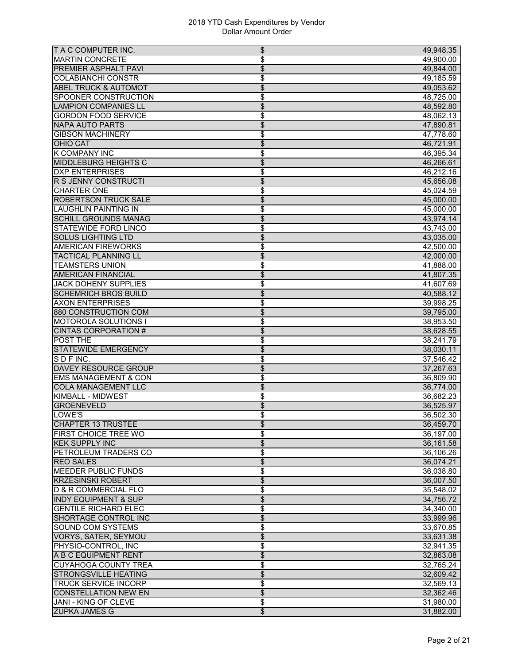| T A C COMPUTER INC.              | \$<br>49,948.35                       |
|----------------------------------|---------------------------------------|
| <b>MARTIN CONCRETE</b>           | \$<br>49,900.00                       |
| <b>PREMIER ASPHALT PAVI</b>      | $\overline{\mathcal{L}}$<br>49,844.00 |
| <b>COLABIANCHI CONSTR</b>        | \$<br>49,185.59                       |
| <b>ABEL TRUCK &amp; AUTOMOT</b>  | \$<br>49,053.62                       |
| SPOONER CONSTRUCTION             | \$<br>48,725.00                       |
| <b>LAMPION COMPANIES LL</b>      | $\overline{\mathcal{L}}$<br>48,592.80 |
| <b>GORDON FOOD SERVICE</b>       | \$<br>48,062.13                       |
| <b>NAPA AUTO PARTS</b>           | $\overline{\$}$<br>47,890.81          |
| <b>GIBSON MACHINERY</b>          | \$<br>47,778.60                       |
| <b>OHIO CAT</b>                  | \$<br>46,721.91                       |
| <b>K COMPANY INC</b>             | \$<br>46.395.34                       |
| <b>MIDDLEBURG HEIGHTS C</b>      | \$<br>46,266.61                       |
| <b>DXP ENTERPRISES</b>           | \$<br>46,212.16                       |
| R S JENNY CONSTRUCTI             | $\overline{\$}$<br>45,656.08          |
| <b>CHARTER ONE</b>               | \$<br>45,024.59                       |
| <b>ROBERTSON TRUCK SALE</b>      | \$<br>45,000.00                       |
| <b>LAUGHLIN PAINTING IN</b>      | \$<br>45,000.00                       |
| <b>SCHILL GROUNDS MANAG</b>      | $\overline{\mathcal{L}}$<br>43,974.14 |
| <b>STATEWIDE FORD LINCO</b>      | \$<br>43,743.00                       |
| <b>SOLUS LIGHTING LTD</b>        | \$<br>43,035.00                       |
| <b>AMERICAN FIREWORKS</b>        | \$<br>42,500.00                       |
| <b>TACTICAL PLANNING LL</b>      | $\overline{\$}$<br>42,000.00          |
| <b>TEAMSTERS UNION</b>           | \$<br>41,888.00                       |
| <b>AMERICAN FINANCIAL</b>        | \$<br>41,807.35                       |
| <b>JACK DOHENY SUPPLIES</b>      | \$<br>41,607.69                       |
| <b>SCHEMRICH BROS BUILD</b>      | \$<br>40,588.12                       |
| <b>AXON ENTERPRISES</b>          | \$<br>39,998.25                       |
| 880 CONSTRUCTION COM             | \$<br>39,795.00                       |
| <b>MOTOROLA SOLUTIONS I</b>      | \$<br>38,953.50                       |
| <b>CINTAS CORPORATION #</b>      | $\overline{\$}$<br>38,628.55          |
| <b>POST THE</b>                  | \$<br>38,241.79                       |
| <b>STATEWIDE EMERGENCY</b>       | \$<br>38,030.11                       |
| SDFINC.                          | \$<br>37,546.42                       |
| <b>DAVEY RESOURCE GROUP</b>      | \$<br>37,267.63                       |
| <b>EMS MANAGEMENT &amp; CON</b>  | \$<br>36.809.90                       |
| <b>COLA MANAGEMENT LLC</b>       | \$<br>36,774.00                       |
| <b>KIMBALL - MIDWEST</b>         | \$<br>36,682.23                       |
| <b>GROENEVELD</b>                | \$<br>36,525.97                       |
| LOWE'S                           | \$<br>36,502.30                       |
| CHAPTER 13 TRUSTEE               | 36,459.70<br>\$                       |
| <b>FIRST CHOICE TREE WO</b>      | \$<br>36,197.00                       |
| <b>KEK SUPPLY INC</b>            | $\overline{\$}$<br>36,161.58          |
| PETROLEUM TRADERS CO             | \$<br>36,106.26                       |
| <b>REO SALES</b>                 | $\overline{\$}$<br>36,074.21          |
| <b>MEEDER PUBLIC FUNDS</b>       | \$<br>36,038.80                       |
| <b>KRZESINSKI ROBERT</b>         | \$<br>36,007.50                       |
| <b>ID &amp; R COMMERCIAL FLO</b> | \$<br>35,548.02                       |
| <b>INDY EQUIPMENT &amp; SUP</b>  | \$<br>34,756.72                       |
| <b>GENTILE RICHARD ELEC</b>      | \$<br>34.340.00                       |
| <b>SHORTAGE CONTROL INC</b>      | \$<br>33,999.96                       |
| <b>SOUND COM SYSTEMS</b>         | \$<br>33,670.85                       |
| <b>VORYS, SATER, SEYMOU</b>      | \$<br>33,631.38                       |
| PHYSIO-CONTROL, INC              | \$<br>32,941.35                       |
| A B C EQUIPMENT RENT             | \$<br>32,863.08                       |
| <b>CUYAHOGA COUNTY TREA</b>      | \$<br>32,765.24                       |
| <b>STRONGSVILLE HEATING</b>      | $\overline{\mathcal{L}}$<br>32,609.42 |
| <b>TRUCK SERVICE INCORP</b>      | \$<br>32,569.13                       |
| <b>CONSTELLATION NEW EN</b>      | $\overline{\$}$<br>32,362.46          |
| JANI - KING OF CLEVE             | \$<br>31,980.00                       |
| <b>ZUPKA JAMES G</b>             | $\overline{\$}$<br>31,882.00          |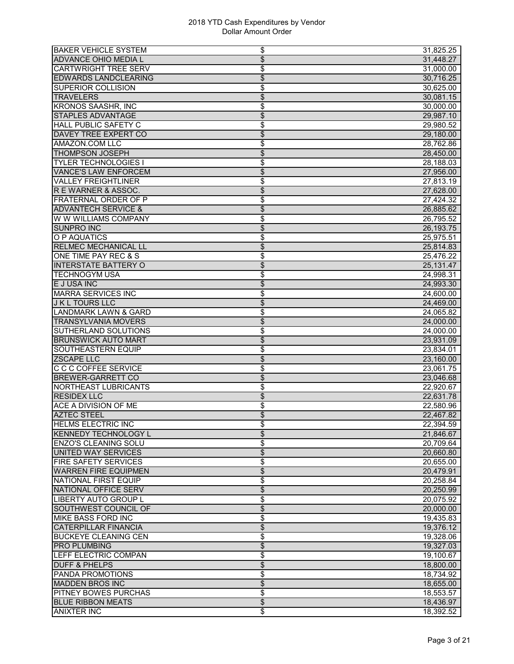| <b>BAKER VEHICLE SYSTEM</b>                              | \$<br>31,825.25                                 |
|----------------------------------------------------------|-------------------------------------------------|
| <b>ADVANCE OHIO MEDIA L</b>                              | $\overline{\mathcal{L}}$<br>31,448.27           |
| <b>CARTWRIGHT TREE SERV</b>                              | \$<br>31,000.00                                 |
| <b>EDWARDS LANDCLEARING</b>                              | \$<br>30,716.25                                 |
| <b>SUPERIOR COLLISION</b>                                | \$<br>30,625.00                                 |
| <b>TRAVELERS</b>                                         | \$<br>30,081.15                                 |
| <b>KRONOS SAASHR, INC</b>                                | \$<br>30,000.00                                 |
| <b>STAPLES ADVANTAGE</b>                                 | \$<br>29,987.10                                 |
| <b>HALL PUBLIC SAFETY C</b>                              | \$<br>29,980.52                                 |
| DAVEY TREE EXPERT CO                                     | $\overline{\$}$<br>29,180.00                    |
| AMAZON.COM LLC                                           | \$<br>28,762.86                                 |
| <b>THOMPSON JOSEPH</b>                                   | \$<br>28,450.00                                 |
| <b>TYLER TECHNOLOGIES I</b>                              | \$<br>28,188.03                                 |
| <b>VANCE'S LAW ENFORCEM</b>                              | \$<br>27,956.00                                 |
| <b>VALLEY FREIGHTLINER</b>                               | \$<br>27,813.19                                 |
| R E WARNER & ASSOC.                                      | $\frac{1}{2}$<br>27,628.00                      |
| <b>FRATERNAL ORDER OF P</b>                              | \$<br>27,424.32                                 |
| <b>ADVANTECH SERVICE &amp;</b>                           | \$<br>26,885.62                                 |
| W W WILLIAMS COMPANY                                     | \$<br>26,795.52                                 |
| <b>SUNPRO INC</b>                                        | $\overline{\mathcal{L}}$<br>26,193.75           |
| O P AQUATICS                                             | \$<br>25,975.51                                 |
| <b>RELMEC MECHANICAL LL</b>                              | \$<br>25,814.83                                 |
| ONE TIME PAY REC & S                                     | \$<br>25,476.22                                 |
| <b>INTERSTATE BATTERY O</b>                              | \$<br>25,131.47                                 |
| <b>TECHNOGYM USA</b>                                     | \$<br>24,998.31                                 |
| E J USA INC                                              | $\overline{\$}$<br>24,993.30                    |
| <b>MARRA SERVICES INC</b>                                | \$<br>24,600.00                                 |
| <b>J K L TOURS LLC</b>                                   | \$<br>24,469.00                                 |
| <b>LANDMARK LAWN &amp; GARD</b>                          | \$<br>24,065.82                                 |
| <b>TRANSYLVANIA MOVERS</b>                               | $\overline{\mathcal{L}}$<br>24,000.00           |
| SUTHERLAND SOLUTIONS                                     | \$<br>24,000.00                                 |
| <b>BRUNSWICK AUTO MART</b>                               | \$<br>23,931.09                                 |
| SOUTHEASTERN EQUIP                                       | \$<br>23,834.01                                 |
| <b>ZSCAPE LLC</b>                                        | \$<br>23,160.00                                 |
| C C C COFFEE SERVICE                                     | \$<br>23,061.75                                 |
| <b>BREWER-GARRETT CO</b>                                 | \$<br>23,046.68                                 |
| NORTHEAST LUBRICANTS                                     |                                                 |
| <b>RESIDEX LLC</b>                                       | \$<br>22,920.67<br>$\overline{\$}$              |
| <b>ACE A DIVISION OF ME</b>                              | 22,631.78<br>22,580.96                          |
| <b>AZTEC STEEL</b>                                       | \$                                              |
|                                                          | \$<br>22,467.82                                 |
| <b>HELMS ELECTRIC INC</b><br><b>KENNEDY TECHNOLOGY L</b> | 22,394.59<br>\$<br>\$                           |
|                                                          | 21,846.67                                       |
| <b>ENZO'S CLEANING SOLU</b>                              | \$<br>20,709.64                                 |
| UNITED WAY SERVICES                                      | $\overline{\$}$<br>20,660.80                    |
| <b>FIRE SAFETY SERVICES</b>                              | \$<br>20,655.00                                 |
| <b>WARREN FIRE EQUIPMEN</b>                              | $\overline{\$}$<br>20,479.91                    |
| <b>NATIONAL FIRST EQUIP</b>                              | \$<br>20,258.84                                 |
| NATIONAL OFFICE SERV                                     | $\overline{\mathcal{L}}$<br>20,250.99           |
| <b>LIBERTY AUTO GROUP L</b>                              | \$<br>20,075.92                                 |
| SOUTHWEST COUNCIL OF                                     | \$<br>20,000.00                                 |
| <b>MIKE BASS FORD INC</b>                                | \$<br>19,435.83                                 |
| <b>CATERPILLAR FINANCIA</b>                              | \$<br>19,376.12                                 |
| <b>BUCKEYE CLEANING CEN</b>                              | \$<br>19,328.06                                 |
| <b>PRO PLUMBING</b>                                      | \$<br>19,327.03                                 |
| LEFF ELECTRIC COMPAN                                     | \$<br>19,100.67                                 |
| <b>DUFF &amp; PHELPS</b>                                 | \$<br>18,800.00                                 |
| <b>PANDA PROMOTIONS</b>                                  | \$<br>18,734.92                                 |
| <b>MADDEN BROS INC</b>                                   | \$<br>18,655.00                                 |
| <b>PITNEY BOWES PURCHAS</b>                              |                                                 |
|                                                          | \$<br>18,553.57                                 |
| <b>BLUE RIBBON MEATS</b><br><b>ANIXTER INC</b>           | $\overline{\$}$<br>18,436.97<br>\$<br>18,392.52 |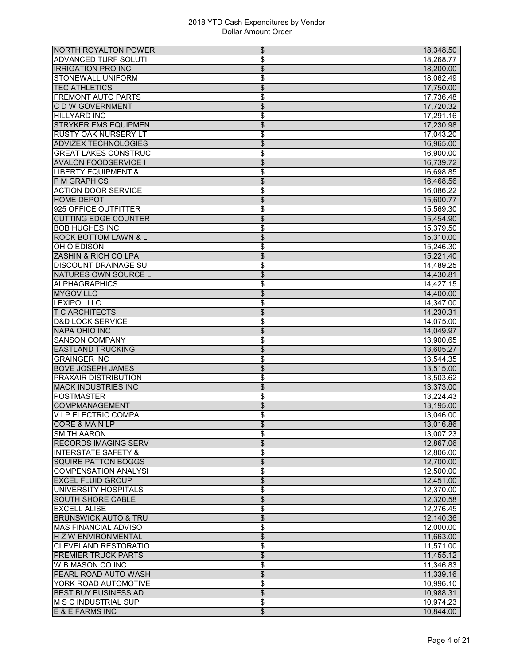| <b>NORTH ROYALTON POWER</b>     | \$                       | 18,348.50 |
|---------------------------------|--------------------------|-----------|
| <b>ADVANCED TURF SOLUTI</b>     | \$                       | 18,268.77 |
| <b>IRRIGATION PRO INC</b>       | \$                       | 18,200.00 |
| <b>STONEWALL UNIFORM</b>        | \$                       | 18,062.49 |
| <b>TEC ATHLETICS</b>            | \$                       | 17,750.00 |
| <b>FREMONT AUTO PARTS</b>       | \$                       | 17,736.48 |
| <b>CDW GOVERNMENT</b>           | $\overline{\mathcal{L}}$ | 17,720.32 |
| <b>HILLYARD INC</b>             | \$                       | 17,291.16 |
| <b>STRYKER EMS EQUIPMEN</b>     | $\overline{\$}$          | 17,230.98 |
| <b>RUSTY OAK NURSERY LT</b>     | \$                       | 17,043.20 |
| <b>ADVIZEX TECHNOLOGIES</b>     | \$                       | 16,965.00 |
| <b>GREAT LAKES CONSTRUC</b>     | \$                       | 16,900.00 |
| <b>AVALON FOODSERVICE I</b>     | \$                       | 16,739.72 |
| <b>LIBERTY EQUIPMENT &amp;</b>  | \$                       | 16,698.85 |
| P M GRAPHICS                    | $\overline{\$}$          | 16,468.56 |
| <b>ACTION DOOR SERVICE</b>      | \$                       | 16,086.22 |
| <b>HOME DEPOT</b>               | \$                       | 15,600.77 |
| 925 OFFICE OUTFITTER            |                          | 15,569.30 |
|                                 | \$                       |           |
| <b>CUTTING EDGE COUNTER</b>     | $\overline{\mathcal{L}}$ | 15,454.90 |
| <b>BOB HUGHES INC</b>           | \$                       | 15,379.50 |
| <b>ROCK BOTTOM LAWN &amp; L</b> | \$                       | 15,310.00 |
| OHIO EDISON                     | \$                       | 15,246.30 |
| ZASHIN & RICH CO LPA            | $\overline{\$}$          | 15,221.40 |
| <b>DISCOUNT DRAINAGE SU</b>     | \$                       | 14,489.25 |
| NATURES OWN SOURCE L            | \$                       | 14,430.81 |
| <b>ALPHAGRAPHICS</b>            | \$                       | 14,427.15 |
| <b>MYGOV LLC</b>                | \$                       | 14,400.00 |
| <b>LEXIPOL LLC</b>              | \$                       | 14,347.00 |
| <b>T C ARCHITECTS</b>           | \$                       | 14,230.31 |
| <b>D&amp;D LOCK SERVICE</b>     | \$                       | 14,075.00 |
| <b>NAPA OHIO INC</b>            | $\overline{\$}$          | 14,049.97 |
| <b>SANSON COMPANY</b>           | \$                       | 13,900.65 |
| <b>EASTLAND TRUCKING</b>        | \$                       | 13,605.27 |
| <b>GRAINGER INC</b>             | \$                       | 13,544.35 |
| <b>BOVE JOSEPH JAMES</b>        | \$                       | 13,515.00 |
| <b>PRAXAIR DISTRIBUTION</b>     | \$                       | 13,503.62 |
| <b>MACK INDUSTRIES INC</b>      | \$                       | 13,373.00 |
| <b>POSTMASTER</b>               | \$                       | 13,224.43 |
| <b>COMPMANAGEMENT</b>           | \$                       | 13,195.00 |
| <b>VIP ELECTRIC COMPA</b>       | \$                       | 13,046.00 |
| <b>CORE &amp; MAIN LP</b>       | \$                       | 13,016.86 |
| <b>SMITH AARON</b>              | \$                       | 13,007.23 |
| <b>RECORDS IMAGING SERV</b>     | $\overline{\$}$          | 12,867.06 |
| <b>INTERSTATE SAFETY &amp;</b>  | \$                       | 12,806.00 |
| <b>SQUIRE PATTON BOGGS</b>      | $\overline{\$}$          | 12,700.00 |
| <b>COMPENSATION ANALYSI</b>     | \$                       | 12,500.00 |
| <b>EXCEL FLUID GROUP</b>        | $\overline{\mathcal{L}}$ | 12,451.00 |
| UNIVERSITY HOSPITALS            | \$                       | 12,370.00 |
|                                 |                          |           |
| <b>SOUTH SHORE CABLE</b>        | \$                       | 12,320.58 |
| <b>EXCELL ALISE</b>             | \$                       | 12,276.45 |
| <b>BRUNSWICK AUTO &amp; TRU</b> | $\overline{\$}$          | 12,140.36 |
| <b>MAS FINANCIAL ADVISO</b>     | \$                       | 12,000.00 |
| <b>HZW ENVIRONMENTAL</b>        | \$                       | 11,663.00 |
| <b>CLEVELAND RESTORATIO</b>     | \$                       | 11,571.00 |
| <b>PREMIER TRUCK PARTS</b>      | \$                       | 11,455.12 |
| <b>W B MASON CO INC</b>         | \$                       | 11,346.83 |
| PEARL ROAD AUTO WASH            | $\overline{\mathcal{L}}$ | 11,339.16 |
| YORK ROAD AUTOMOTIVE            | \$                       | 10,996.10 |
| <b>BEST BUY BUSINESS AD</b>     | $\overline{\$}$          | 10,988.31 |
| <b>M S C INDUSTRIAL SUP</b>     | \$                       | 10,974.23 |
| E & E FARMS INC                 | $\overline{\mathcal{E}}$ | 10,844.00 |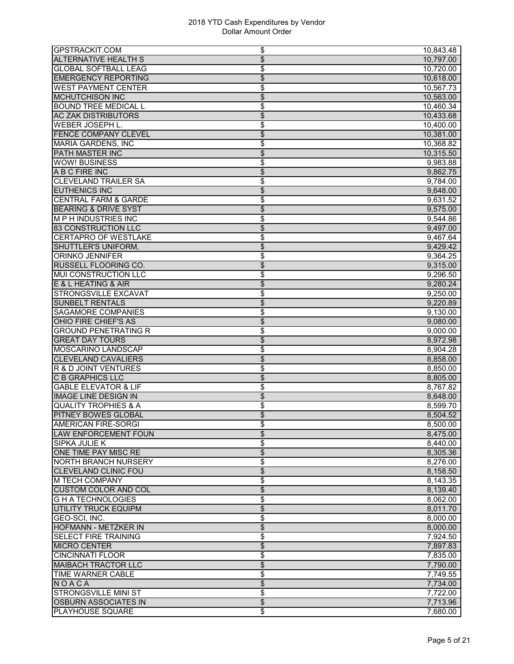| <b>GPSTRACKIT.COM</b>           | \$                       | 10,843.48 |
|---------------------------------|--------------------------|-----------|
| <b>ALTERNATIVE HEALTH S</b>     | $\overline{\mathcal{L}}$ | 10,797.00 |
| <b>GLOBAL SOFTBALL LEAG</b>     | \$                       | 10,720.00 |
| <b>EMERGENCY REPORTING</b>      | \$                       | 10,618.00 |
| <b>WEST PAYMENT CENTER</b>      | \$                       | 10,567.73 |
| <b>MCHUTCHISON INC</b>          | \$                       | 10,563.00 |
| <b>BOUND TREE MEDICAL L</b>     | \$                       | 10,460.34 |
| <b>AC ZAK DISTRIBUTORS</b>      | \$                       | 10,433.68 |
| WEBER JOSEPH L.                 | \$                       | 10,400.00 |
| <b>FENCE COMPANY CLEVEL</b>     | \$                       | 10,381.00 |
| <b>MARIA GARDENS, INC</b>       | \$                       | 10,368.82 |
| <b>PATH MASTER INC</b>          | \$                       | 10,315.50 |
| <b>WOW! BUSINESS</b>            | \$                       | 9,983.88  |
| A B C FIRE INC                  | \$                       | 9,862.75  |
| <b>CLEVELAND TRAILER SA</b>     | \$                       | 9,784.00  |
| <b>EUTHENICS INC</b>            | \$                       | 9,648.00  |
| <b>CENTRAL FARM &amp; GARDE</b> | \$                       | 9,631.52  |
| <b>BEARING &amp; DRIVE SYST</b> | \$                       | 9,575.00  |
| <b>MPH INDUSTRIES INC</b>       | \$                       | 9,544.86  |
| <b>83 CONSTRUCTION LLC</b>      | $\overline{\mathcal{S}}$ | 9,497.00  |
| <b>CERTAPRO OF WESTLAKE</b>     | \$                       | 9,467.64  |
| SHUTTLER'S UNIFORM,             | \$                       | 9,429.42  |
| <b>ORINKO JENNIFER</b>          | \$                       | 9,364.25  |
| RUSSELL FLOORING CO.            | \$                       | 9,315.00  |
| <b>MUI CONSTRUCTION LLC</b>     | \$                       | 9,296.50  |
| E & L HEATING & AIR             | $\overline{\$}$          | 9,280.24  |
| <b>STRONGSVILLE EXCAVAT</b>     | \$                       | 9,250.00  |
| <b>SUNBELT RENTALS</b>          | \$                       | 9,220.89  |
| <b>SAGAMORE COMPANIES</b>       | \$                       | 9,130.00  |
| OHIO FIRE CHIEF'S AS            | $\overline{\mathcal{L}}$ | 9,080.00  |
| <b>GROUND PENETRATING R</b>     | \$                       | 9,000.00  |
| <b>GREAT DAY TOURS</b>          | \$                       | 8,972.98  |
| MOSCARINO LANDSCAP              | \$                       | 8,904.28  |
| <b>CLEVELAND CAVALIERS</b>      | \$                       | 8,858.00  |
| <b>R &amp; D JOINT VENTURES</b> | \$                       | 8,850.00  |
| <b>C B GRAPHICS LLC</b>         | \$                       | 8,805.00  |
| <b>GABLE ELEVATOR &amp; LIF</b> | \$                       | 8,767.82  |
| <b>IMAGE LINE DESIGN IN</b>     | $\overline{\$}$          | 8,648.00  |
| <b>QUALITY TROPHIES &amp; A</b> | \$                       | 8,599.70  |
| <b>PITNEY BOWES GLOBAL</b>      | \$                       | 8,504.52  |
| <b>AMERICAN FIRE-SORGI</b>      | \$                       | 8,500.00  |
| <b>LAW ENFORCEMENT FOUN</b>     | \$                       | 8,475.00  |
| <b>SIPKA JULIE K</b>            | \$                       | 8,440.00  |
| ONE TIME PAY MISC RE            | $\overline{\$}$          | 8,305.36  |
| <b>NORTH BRANCH NURSERY</b>     | \$                       | 8,276.00  |
| CLEVELAND CLINIC FOU            | \$                       | 8,158.50  |
| <b>M TECH COMPANY</b>           | \$                       | 8,143.35  |
| <b>CUSTOM COLOR AND COL</b>     | \$                       | 8,139.40  |
| <b>GHATECHNOLOGIES</b>          | \$                       | 8,062.00  |
| UTILITY TRUCK EQUIPM            | \$                       | 8,011.70  |
| GEO-SCI, INC.                   | \$                       | 8,000.00  |
| <b>HOFMANN - METZKER IN</b>     | \$                       | 8,000.00  |
| <b>SELECT FIRE TRAINING</b>     | \$                       | 7,924.50  |
| <b>MICRO CENTER</b>             | \$                       | 7,897.83  |
| <b>CINCINNATI FLOOR</b>         | \$                       | 7,835.00  |
| <b>MAIBACH TRACTOR LLC</b>      | \$                       | 7,790.00  |
| <b>TIME WARNER CABLE</b>        | \$                       | 7,749.55  |
| NOACA                           | \$                       | 7,734.00  |
| <b>STRONGSVILLE MINI ST</b>     | \$                       | 7,722.00  |
| <b>OSBURN ASSOCIATES IN</b>     | $\overline{\$}$          | 7,713.96  |
| <b>PLAYHOUSE SQUARE</b>         | \$                       | 7,680.00  |
|                                 |                          |           |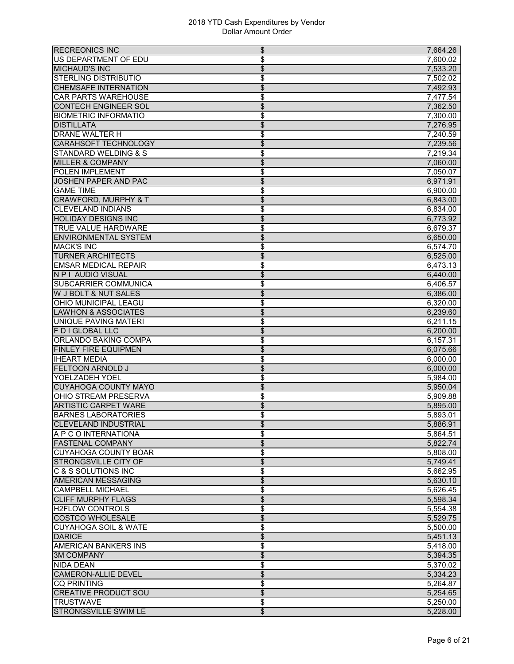| <b>RECREONICS INC</b>           | \$<br>7,664.26                       |
|---------------------------------|--------------------------------------|
| US DEPARTMENT OF EDU            | \$<br>7,600.02                       |
| <b>MICHAUD'S INC</b>            | $\overline{\$}$<br>7,533.20          |
| <b>STERLING DISTRIBUTIO</b>     | \$<br>7,502.02                       |
| <b>CHEMSAFE INTERNATION</b>     | $\overline{\mathcal{L}}$<br>7,492.93 |
| <b>CAR PARTS WAREHOUSE</b>      | \$<br>7,477.54                       |
| <b>CONTECH ENGINEER SOL</b>     | \$<br>7,362.50                       |
| <b>BIOMETRIC INFORMATIO</b>     | \$<br>7,300.00                       |
| <b>DISTILLATA</b>               | \$<br>7,276.95                       |
| <b>DRANE WALTER H</b>           | \$<br>7,240.59                       |
| <b>CARAHSOFT TECHNOLOGY</b>     | \$<br>7,239.56                       |
| <b>STANDARD WELDING &amp; S</b> | \$<br>7,219.34                       |
| <b>MILLER &amp; COMPANY</b>     | \$<br>7,060.00                       |
| POLEN IMPLEMENT                 | \$<br>7,050.07                       |
| <b>JOSHEN PAPER AND PAC</b>     | \$<br>6,971.91                       |
| <b>GAME TIME</b>                | \$<br>6,900.00                       |
| <b>CRAWFORD, MURPHY &amp; T</b> | $\overline{\$}$<br>6,843.00          |
| <b>CLEVELAND INDIANS</b>        | \$<br>6,834.00                       |
| <b>HOLIDAY DESIGNS INC</b>      | \$<br>6,773.92                       |
| <b>TRUE VALUE HARDWARE</b>      | \$<br>6,679.37                       |
| <b>ENVIRONMENTAL SYSTEM</b>     | \$<br>6,650.00                       |
| <b>MACK'S INC</b>               | \$<br>6,574.70                       |
| <b>TURNER ARCHITECTS</b>        | $\overline{\$}$<br>6,525.00          |
| <b>EMSAR MEDICAL REPAIR</b>     | \$<br>6,473.13                       |
| N P I AUDIO VISUAL              | \$<br>6,440.00                       |
| <b>SUBCARRIER COMMUNICA</b>     | \$<br>6,406.57                       |
| W J BOLT & NUT SALES            | \$<br>6,386.00                       |
| OHIO MUNICIPAL LEAGU            | \$<br>6,320.00                       |
| <b>LAWHON &amp; ASSOCIATES</b>  | \$<br>6,239.60                       |
| UNIQUE PAVING MATERI            | \$<br>6,211.15                       |
| <b>F D I GLOBAL LLC</b>         | $\overline{\$}$<br>6,200.00          |
| ORLANDO BAKING COMPA            | \$<br>6,157.31                       |
| <b>FINLEY FIRE EQUIPMEN</b>     | \$<br>6,075.66                       |
| <b>IHEART MEDIA</b>             | \$<br>6,000.00                       |
| <b>FELTOON ARNOLD J</b>         | \$<br>6,000.00                       |
| YOELZADEH YOEL                  | \$<br>5,984.00                       |
| <b>CUYAHOGA COUNTY MAYO</b>     | \$<br>5,950.04                       |
| OHIO STREAM PRESERVA            | \$<br>5,909.88                       |
| <b>ARTISTIC CARPET WARE</b>     | \$<br>5,895.00                       |
| <b>BARNES LABORATORIES</b>      | \$<br>5,893.01                       |
| <b>CLEVELAND INDUSTRIAL</b>     | \$<br>5,886.91                       |
| A P C O INTERNATIONA            | \$<br>5,864.51                       |
| <b>FASTENAL COMPANY</b>         | \$<br>5,822.74                       |
| <b>CUYAHOGA COUNTY BOAR</b>     | \$<br>5,808.00                       |
| <b>STRONGSVILLE CITY OF</b>     | \$<br>$\overline{5,749.41}$          |
| <b>C &amp; S SOLUTIONS INC</b>  | \$<br>5,662.95                       |
| <b>AMERICAN MESSAGING</b>       | \$<br>5,630.10                       |
| <b>CAMPBELL MICHAEL</b>         | \$<br>5,626.45                       |
| <b>CLIFF MURPHY FLAGS</b>       | \$<br>5,598.34                       |
| <b>H2FLOW CONTROLS</b>          | \$<br>5,554.38                       |
| <b>COSTCO WHOLESALE</b>         | $\overline{\$}$<br>5,529.75          |
| <b>CUYAHOGA SOIL &amp; WATE</b> | \$<br>5,500.00                       |
| <b>DARICE</b>                   | $\overline{\$}$<br>5,451.13          |
| <b>AMERICAN BANKERS INS</b>     | \$<br>5,418.00                       |
| <b>3M COMPANY</b>               | \$<br>5,394.35                       |
| <b>NIDA DEAN</b>                | \$<br>5,370.02                       |
| <b>CAMERON-ALLIE DEVEL</b>      | $\overline{\mathcal{L}}$<br>5,334.23 |
| <b>CQ PRINTING</b>              | \$<br>5,264.87                       |
| <b>CREATIVE PRODUCT SOU</b>     | \$<br>5,254.65                       |
| <b>TRUSTWAVE</b>                | \$<br>5,250.00                       |
| <b>STRONGSVILLE SWIM LE</b>     | $\overline{\mathcal{E}}$<br>5,228.00 |
|                                 |                                      |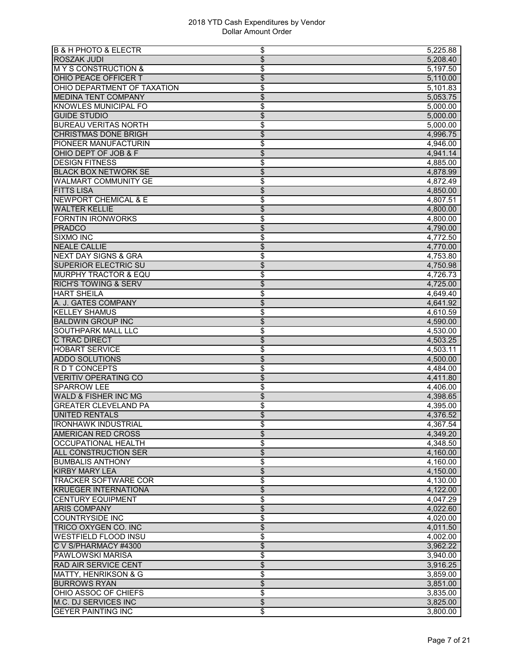| <b>B &amp; H PHOTO &amp; ELECTR</b>              | \$<br>5,225.88                       |
|--------------------------------------------------|--------------------------------------|
| <b>ROSZAK JUDI</b>                               | \$<br>5,208.40                       |
| <b>MY S CONSTRUCTION &amp;</b>                   | \$<br>5,197.50                       |
| OHIO PEACE OFFICER T                             | \$<br>5,110.00                       |
| OHIO DEPARTMENT OF TAXATION                      | \$<br>5,101.83                       |
| <b>MEDINA TENT COMPANY</b>                       | \$<br>5,053.75                       |
| <b>KNOWLES MUNICIPAL FO</b>                      | \$<br>5,000.00                       |
| <b>GUIDE STUDIO</b>                              | \$<br>5,000.00                       |
| <b>BUREAU VERITAS NORTH</b>                      | \$<br>5,000.00                       |
| <b>CHRISTMAS DONE BRIGH</b>                      | $\overline{\$}$<br>4,996.75          |
| <b>PIONEER MANUFACTURIN</b>                      | \$<br>4,946.00                       |
| OHIO DEPT OF JOB & F                             | \$<br>4,941.14                       |
| <b>DESIGN FITNESS</b>                            | \$<br>4,885.00                       |
| <b>BLACK BOX NETWORK SE</b>                      | \$<br>4,878.99                       |
| <b>WALMART COMMUNITY GE</b>                      | \$<br>4,872.49                       |
|                                                  |                                      |
| <b>FITTS LISA</b>                                | \$<br>4,850.00                       |
| <b>NEWPORT CHEMICAL &amp; E</b>                  | \$<br>4,807.51                       |
| <b>WALTER KELLIE</b>                             | \$<br>4,800.00                       |
| <b>FORNTIN IRONWORKS</b>                         | \$<br>4,800.00                       |
| <b>PRADCO</b>                                    | \$<br>4,790.00                       |
| <b>SIXMO INC</b>                                 | \$<br>4,772.50                       |
| <b>NEALE CALLIE</b>                              | \$<br>4,770.00                       |
| <b>NEXT DAY SIGNS &amp; GRA</b>                  | \$<br>4,753.80                       |
| <b>SUPERIOR ELECTRIC SU</b>                      | $\overline{\$}$<br>4,750.98          |
| <b>MURPHY TRACTOR &amp; EQU</b>                  | \$<br>4,726.73                       |
| <b>RICH'S TOWING &amp; SERV</b>                  | \$<br>4,725.00                       |
| <b>HART SHEILA</b>                               | \$<br>4.649.40                       |
| A. J. GATES COMPANY                              | \$<br>4,641.92                       |
| <b>KELLEY SHAMUS</b>                             | \$<br>4,610.59                       |
| <b>BALDWIN GROUP INC</b>                         | \$<br>4,590.00                       |
| <b>SOUTHPARK MALL LLC</b>                        | \$<br>4,530.00                       |
| C TRAC DIRECT                                    | \$<br>4,503.25                       |
| <b>HOBART SERVICE</b>                            | \$<br>4.503.11                       |
| <b>ADDO SOLUTIONS</b>                            | \$<br>4,500.00                       |
| R D T CONCEPTS                                   | \$<br>4,484.00                       |
| <b>VERITIV OPERATING CO</b>                      | \$<br>4,411.80                       |
| <b>SPARROW LEE</b>                               | \$<br>4,406.00                       |
| <b>WALD &amp; FISHER INC MG</b>                  | $\overline{\mathcal{L}}$<br>4,398.65 |
| <b>GREATER CLEVELAND PA</b>                      | \$<br>4,395.00                       |
| <b>UNITED RENTALS</b>                            | \$<br>4,376.52                       |
| <b>IRONHAWK INDUSTRIAL</b>                       | 4,367.54<br>\$                       |
| <b>AMERICAN RED CROSS</b>                        | \$<br>4,349.20                       |
| <b>OCCUPATIONAL HEALTH</b>                       | \$<br>4,348.50                       |
| <b>ALL CONSTRUCTION SER</b>                      | $\overline{\$}$<br>4,160.00          |
|                                                  |                                      |
| <b>BUMBALIS ANTHONY</b><br><b>KIRBY MARY LEA</b> | \$<br>4,160.00                       |
|                                                  | \$<br>4,150.00                       |
| <b>TRACKER SOFTWARE COR</b>                      | \$<br>4,130.00                       |
| <b>KRUEGER INTERNATIONA</b>                      | \$<br>4,122.00                       |
| <b>CENTURY EQUIPMENT</b>                         | \$<br>4.047.29                       |
| <b>ARIS COMPANY</b>                              | \$<br>4,022.60                       |
| <b>COUNTRYSIDE INC</b>                           | \$<br>4.020.00                       |
| TRICO OXYGEN CO. INC                             | \$<br>4,011.50                       |
| <b>WESTFIELD FLOOD INSU</b>                      | \$<br>4,002.00                       |
| C V S/PHARMACY #4300                             | \$<br>3,962.22                       |
| <b>PAWLOWSKI MARISA</b>                          | \$<br>3,940.00                       |
| RAD AIR SERVICE CENT                             | \$<br>3,916.25                       |
| MATTY, HENRIKSON & G                             | \$<br>3,859.00                       |
| <b>BURROWS RYAN</b>                              | \$<br>3,851.00                       |
| OHIO ASSOC OF CHIEFS                             | \$<br>3,835.00                       |
| <b>M.C. DJ SERVICES INC</b>                      | $\overline{\$}$<br>3,825.00          |
| <b>GEYER PAINTING INC</b>                        | \$<br>3,800.00                       |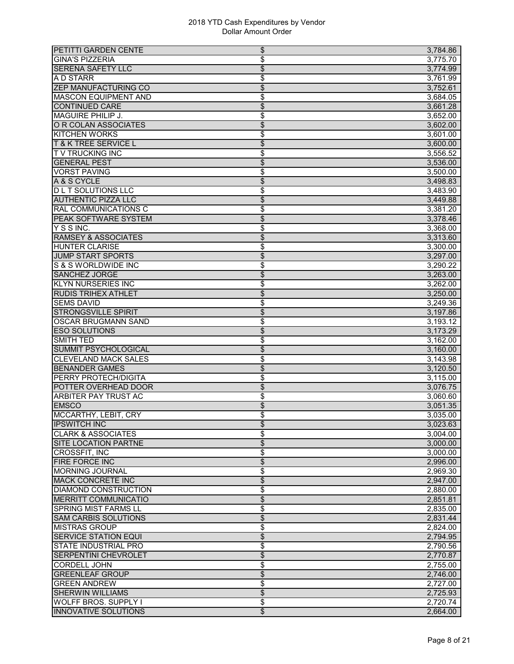| PETITTI GARDEN CENTE                                   | \$<br>3,784.86                       |
|--------------------------------------------------------|--------------------------------------|
| <b>GINA'S PIZZERIA</b>                                 | \$<br>3,775.70                       |
| <b>SERENA SAFETY LLC</b>                               | \$<br>3,774.99                       |
| A D STARR                                              | \$<br>3,761.99                       |
| <b>ZEP MANUFACTURING CO</b>                            | \$<br>3,752.61                       |
| <b>MASCON EQUIPMENT AND</b>                            | \$<br>3,684.05                       |
| <b>CONTINUED CARE</b>                                  | \$<br>3,661.28                       |
| MAGUIRE PHILIP J.                                      | \$<br>3,652.00                       |
| O R COLAN ASSOCIATES                                   | $\overline{\mathcal{L}}$<br>3,602.00 |
| <b>KITCHEN WORKS</b>                                   | \$<br>3,601.00                       |
| <b>T &amp; K TREE SERVICE L</b>                        | \$<br>3,600.00                       |
| <b>TV TRUCKING INC</b>                                 | \$<br>3,556.52                       |
| <b>GENERAL PEST</b>                                    | \$<br>3,536.00                       |
| <b>VORST PAVING</b>                                    | \$<br>3,500.00                       |
| A & S CYCLE                                            | \$<br>3,498.83                       |
|                                                        |                                      |
| <b>DLT SOLUTIONS LLC</b><br><b>AUTHENTIC PIZZA LLC</b> | \$<br>3,483.90                       |
|                                                        | \$<br>3,449.88                       |
| <b>RAL COMMUNICATIONS C</b>                            | \$<br>3,381.20                       |
| PEAK SOFTWARE SYSTEM                                   | \$<br>3,378.46                       |
| YSSINC.                                                | \$<br>3,368.00                       |
| <b>RAMSEY &amp; ASSOCIATES</b>                         | \$<br>3,313.60                       |
| <b>HUNTER CLARISE</b>                                  | \$<br>3,300.00                       |
| <b>JUMP START SPORTS</b>                               | $\overline{\$}$<br>3,297.00          |
| S & S WORLDWIDE INC                                    | \$<br>3,290.22                       |
| <b>SANCHEZ JORGE</b>                                   | \$<br>3,263.00                       |
| <b>KLYN NURSERIES INC</b>                              | \$<br>3,262.00                       |
| <b>RUDIS TRIHEX ATHLET</b>                             | \$<br>3,250.00                       |
| <b>SEMS DAVID</b>                                      | \$<br>3,249.36                       |
| <b>STRONGSVILLE SPIRIT</b>                             | \$<br>3,197.86                       |
| <b>OSCAR BRUGMANN SAND</b>                             | \$<br>3,193.12                       |
| <b>ESO SOLUTIONS</b>                                   | $\overline{\$}$<br>3,173.29          |
| <b>SMITH TED</b>                                       | \$<br>3,162.00                       |
| <b>SUMMIT PSYCHOLOGICAL</b>                            | \$<br>3,160.00                       |
| <b>CLEVELAND MACK SALES</b>                            | \$<br>3,143.98                       |
| <b>BENANDER GAMES</b>                                  | \$<br>3,120.50                       |
| <b>PERRY PROTECH/DIGITA</b>                            | \$<br>3,115.00                       |
| POTTER OVERHEAD DOOR                                   | \$<br>3,076.75                       |
| <b>ARBITER PAY TRUST AC</b>                            | \$<br>3,060.60                       |
| <b>EMSCO</b>                                           | \$<br>3,051.35                       |
| MCCARTHY, LEBIT, CRY                                   | \$<br>3,035.00                       |
| <b>IPSWITCH INC</b>                                    | 3,023.63<br>\$                       |
| <b>CLARK &amp; ASSOCIATES</b>                          | \$<br>3,004.00                       |
| <b>SITE LOCATION PARTNE</b>                            | \$<br>3,000.00                       |
| <b>CROSSFIT, INC</b>                                   | \$<br>3,000.00                       |
| <b>FIRE FORCE INC</b>                                  | $\overline{\$}$<br>2,996.00          |
| <b>MORNING JOURNAL</b>                                 |                                      |
| <b>MACK CONCRETE INC</b>                               | \$<br>2,969.30<br>\$<br>2,947.00     |
| <b>DIAMOND CONSTRUCTION</b>                            |                                      |
|                                                        | \$<br>2,880.00                       |
| <b>MERRITT COMMUNICATIO</b>                            | \$<br>2,851.81                       |
| <b>SPRING MIST FARMS LL</b>                            | \$<br>2,835.00                       |
| <b>SAM CARBIS SOLUTIONS</b>                            | $\overline{\$}$<br>2,831.44          |
| <b>MISTRAS GROUP</b>                                   | \$<br>2,824.00                       |
| <b>SERVICE STATION EQUI</b>                            | \$<br>2,794.95                       |
| <b>STATE INDUSTRIAL PRO</b>                            | \$<br>2,790.56                       |
| <b>SERPENTINI CHEVROLET</b>                            | \$<br>2,770.87                       |
| <b>CORDELL JOHN</b>                                    | \$<br>2,755.00                       |
| <b>GREENLEAF GROUP</b>                                 | \$<br>2,746.00                       |
| <b>GREEN ANDREW</b>                                    | \$<br>2,727.00                       |
| <b>SHERWIN WILLIAMS</b>                                | $\overline{\$}$<br>2,725.93          |
| <b>WOLFF BROS. SUPPLY I</b>                            | \$<br>2,720.74                       |
| <b>INNOVATIVE SOLUTIONS</b>                            | \$<br>2,664.00                       |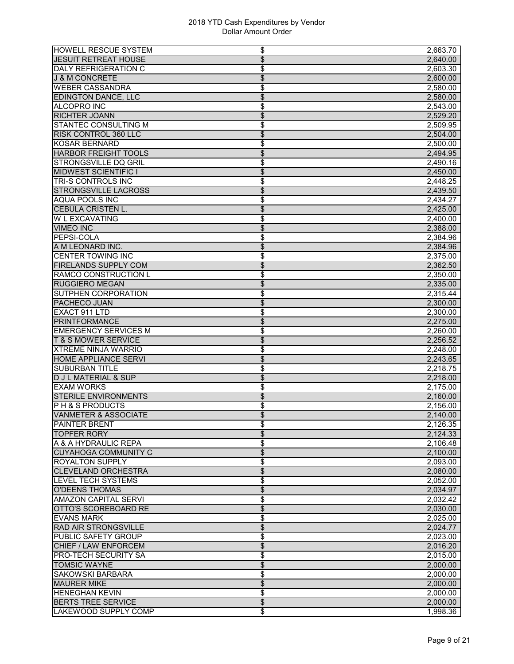| <b>HOWELL RESCUE SYSTEM</b>     | 2,663.70<br>\$                       |
|---------------------------------|--------------------------------------|
| <b>JESUIT RETREAT HOUSE</b>     | \$<br>2,640.00                       |
| <b>DALY REFRIGERATION C</b>     | \$<br>2,603.30                       |
| <b>J &amp; M CONCRETE</b>       | \$<br>2,600.00                       |
| <b>WEBER CASSANDRA</b>          | \$<br>2.580.00                       |
| <b>EDINGTON DANCE, LLC</b>      | \$<br>2,580.00                       |
| <b>ALCOPRO INC</b>              | \$<br>2,543.00                       |
| <b>RICHTER JOANN</b>            | \$<br>2,529.20                       |
| <b>STANTEC CONSULTING M</b>     | \$<br>2,509.95                       |
| <b>RISK CONTROL 360 LLC</b>     | \$<br>2,504.00                       |
| <b>KOSAR BERNARD</b>            | \$<br>2,500.00                       |
| <b>HARBOR FREIGHT TOOLS</b>     | \$<br>2,494.95                       |
| <b>STRONGSVILLE DQ GRIL</b>     | \$<br>2,490.16                       |
| <b>MIDWEST SCIENTIFIC I</b>     | \$<br>2,450.00                       |
| <b>TRI-S CONTROLS INC</b>       | \$<br>2,448.25                       |
| <b>STRONGSVILLE LACROSS</b>     | \$<br>2,439.50                       |
| <b>AQUA POOLS INC</b>           | \$<br>2,434.27                       |
| <b>CEBULA CRISTEN L.</b>        | \$<br>2,425.00                       |
| <b>W L EXCAVATING</b>           | \$<br>2,400.00                       |
| <b>VIMEO INC</b>                | \$<br>2,388.00                       |
| <b>PEPSI-COLA</b>               | \$<br>2,384.96                       |
| A M LEONARD INC.                | $\overline{\$}$<br>2.384.96          |
| <b>CENTER TOWING INC</b>        | \$<br>2,375.00                       |
| <b>FIRELANDS SUPPLY COM</b>     | $\overline{\$}$<br>2,362.50          |
| <b>RAMCO CONSTRUCTION L</b>     | \$<br>2,350.00                       |
| <b>RUGGIERO MEGAN</b>           | \$<br>2,335.00                       |
| <b>SUTPHEN CORPORATION</b>      | \$<br>2,315.44                       |
| PACHECO JUAN                    | \$<br>2,300.00                       |
| <b>EXACT 911 LTD</b>            | \$<br>2,300.00                       |
| <b>PRINTFORMANCE</b>            | \$<br>2,275.00                       |
| <b>EMERGENCY SERVICES M</b>     | \$<br>2,260.00                       |
| <b>T &amp; S MOWER SERVICE</b>  | \$<br>2,256.52                       |
| <b>XTREME NINJA WARRIO</b>      | \$<br>2,248.00                       |
| <b>HOME APPLIANCE SERVI</b>     | \$<br>2,243.65                       |
| <b>SUBURBAN TITLE</b>           | \$<br>2,218.75                       |
| <b>D J L MATERIAL &amp; SUP</b> | \$<br>2,218.00                       |
| <b>EXAM WORKS</b>               | \$<br>2,175.00                       |
| <b>STERILE ENVIRONMENTS</b>     | $\overline{\$}$<br>2,160.00          |
| <b>PH &amp; S PRODUCTS</b>      | \$<br>2,156.00                       |
| <b>VANMETER &amp; ASSOCIATE</b> | \$<br>2,140.00                       |
| <b>PAINTER BRENT</b>            | 2,126.35                             |
| <b>TOPFER RORY</b>              | \$<br>\$<br>2,124.33                 |
| A & A HYDRAULIC REPA            | \$                                   |
| <b>CUYAHOGA COMMUNITY C</b>     | 2,106.48<br>$\overline{\$}$          |
| <b>ROYALTON SUPPLY</b>          | 2,100.00                             |
|                                 | \$<br>2,093.00                       |
| <b>CLEVELAND ORCHESTRA</b>      | \$<br>2,080.00                       |
| <b>LEVEL TECH SYSTEMS</b>       | \$<br>2,052.00                       |
| <b>O'DEENS THOMAS</b>           | \$<br>2,034.97                       |
| <b>AMAZON CAPITAL SERVI</b>     | \$<br>2,032.42                       |
| OTTO'S SCOREBOARD RE            | \$<br>2,030.00                       |
| <b>EVANS MARK</b>               | \$<br>2,025.00                       |
| <b>RAD AIR STRONGSVILLE</b>     | $\overline{\$}$<br>2,024.77          |
| PUBLIC SAFETY GROUP             | \$<br>2,023.00                       |
| CHIEF / LAW ENFORCEM            | \$<br>2,016.20                       |
| <b>PRO-TECH SECURITY SA</b>     | \$<br>2,015.00                       |
| <b>TOMSIC WAYNE</b>             | \$<br>2,000.00                       |
| <b>SAKOWSKI BARBARA</b>         | \$<br>2,000.00                       |
| <b>MAURER MIKE</b>              | \$<br>2,000.00                       |
| <b>HENEGHAN KEVIN</b>           | \$<br>2,000.00                       |
| <b>BERTS TREE SERVICE</b>       | $\overline{\mathcal{L}}$<br>2,000.00 |
| LAKEWOOD SUPPLY COMP            | \$<br>1,998.36                       |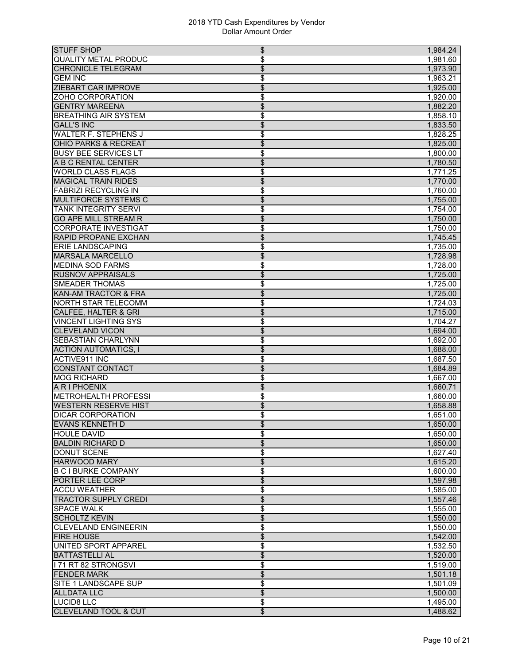| <b>STUFF SHOP</b>               | \$<br>1,984.24 |
|---------------------------------|----------------|
| <b>QUALITY METAL PRODUC</b>     | \$<br>1,981.60 |
| <b>CHRONICLE TELEGRAM</b>       | \$<br>1,973.90 |
| <b>GEM INC</b>                  | \$<br>1,963.21 |
| <b>ZIEBART CAR IMPROVE</b>      | \$<br>1,925.00 |
| ZOHO CORPORATION                | \$<br>1,920.00 |
| <b>GENTRY MAREENA</b>           | \$<br>1,882.20 |
| <b>BREATHING AIR SYSTEM</b>     | \$<br>1,858.10 |
| <b>GALL'S INC</b>               | \$<br>1,833.50 |
| <b>WALTER F. STEPHENS J</b>     | \$<br>1,828.25 |
| <b>OHIO PARKS &amp; RECREAT</b> | \$<br>1,825.00 |
| <b>BUSY BEE SERVICES LT</b>     | \$<br>1.800.00 |
| A B C RENTAL CENTER             | \$<br>1,780.50 |
| <b>WORLD CLASS FLAGS</b>        | \$<br>1,771.25 |
| <b>MAGICAL TRAIN RIDES</b>      | \$<br>1,770.00 |
| <b>FABRIZI RECYCLING IN</b>     | \$<br>1,760.00 |
| <b>MULTIFORCE SYSTEMS C</b>     | \$<br>1,755.00 |
| <b>TANK INTEGRITY SERVI</b>     | \$<br>1,754.00 |
| <b>GO APE MILL STREAM R</b>     | \$<br>1,750.00 |
| <b>CORPORATE INVESTIGAT</b>     | \$<br>1,750.00 |
| <b>RAPID PROPANE EXCHAN</b>     | \$<br>1,745.45 |
| <b>ERIE LANDSCAPING</b>         | \$<br>1,735.00 |
| <b>MARSALA MARCELLO</b>         | \$<br>1,728.98 |
| <b>MEDINA SOD FARMS</b>         | \$<br>1,728.00 |
| <b>RUSNOV APPRAISALS</b>        | \$<br>1,725.00 |
| <b>SMEADER THOMAS</b>           | \$<br>1,725.00 |
| <b>KAN-AM TRACTOR &amp; FRA</b> | \$<br>1,725.00 |
| <b>NORTH STAR TELECOMM</b>      | \$<br>1,724.03 |
| CALFEE, HALTER & GRI            | \$<br>1,715.00 |
| <b>VINCENT LIGHTING SYS</b>     | \$<br>1,704.27 |
| <b>CLEVELAND VICON</b>          | \$<br>1,694.00 |
| <b>SEBASTIAN CHARLYNN</b>       | \$<br>1.692.00 |
| <b>ACTION AUTOMATICS, I</b>     | \$<br>1,688.00 |
| <b>ACTIVE911 INC</b>            | \$<br>1.687.50 |
| <b>CONSTANT CONTACT</b>         | \$<br>1,684.89 |
| <b>MOG RICHARD</b>              | \$<br>1,667.00 |
| A R I PHOENIX                   | \$<br>1,660.71 |
| <b>METROHEALTH PROFESSI</b>     | \$<br>1,660.00 |
| <b>WESTERN RESERVE HIST</b>     | \$<br>1,658.88 |
| <b>DICAR CORPORATION</b>        | \$<br>1,651.00 |
| <b>EVANS KENNETH D</b>          | 1,650.00<br>\$ |
| <b>HOULE DAVID</b>              | \$<br>1,650.00 |
| <b>BALDIN RICHARD D</b>         | \$<br>1,650.00 |
| DONUT SCENE                     | \$<br>1,627.40 |
| <b>HARWOOD MARY</b>             | \$<br>1,615.20 |
| <b>B C I BURKE COMPANY</b>      | \$<br>1,600.00 |
| PORTER LEE CORP                 | \$<br>1,597.98 |
| <b>ACCU WEATHER</b>             | \$<br>1,585.00 |
| <b>TRACTOR SUPPLY CREDI</b>     | \$<br>1,557.46 |
| <b>SPACE WALK</b>               | \$<br>1,555.00 |
| <b>SCHOLTZ KEVIN</b>            | \$<br>1,550.00 |
| <b>CLEVELAND ENGINEERIN</b>     | \$<br>1,550.00 |
| <b>FIRE HOUSE</b>               | \$<br>1,542.00 |
| UNITED SPORT APPAREL            | \$<br>1,532.50 |
| <b>BATTASTELLI AL</b>           | \$<br>1,520.00 |
| I 71 RT 82 STRONGSVI            | \$<br>1,519.00 |
| <b>FENDER MARK</b>              | \$<br>1,501.18 |
| SITE 1 LANDSCAPE SUP            | \$<br>1,501.09 |
| <b>ALLDATA LLC</b>              | \$<br>1,500.00 |
| <b>LUCID8 LLC</b>               | \$<br>1,495.00 |
| <b>CLEVELAND TOOL &amp; CUT</b> | \$<br>1,488.62 |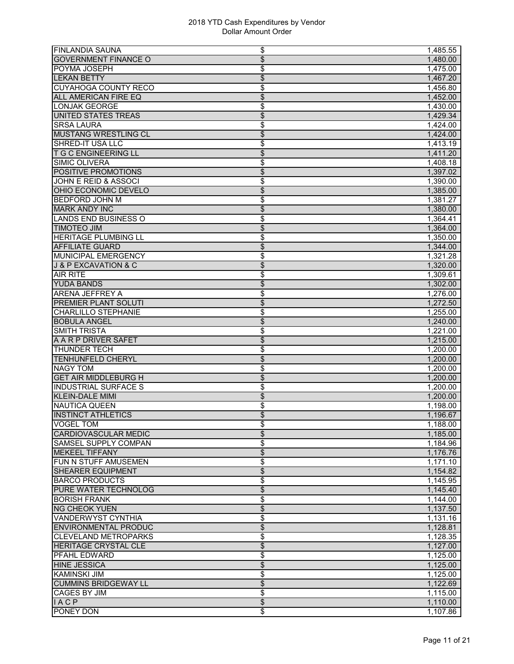| <b>FINLANDIA SAUNA</b>          | 1,485.55<br>\$              |
|---------------------------------|-----------------------------|
| <b>GOVERNMENT FINANCE O</b>     | \$<br>1,480.00              |
| <b>POYMA JOSEPH</b>             | \$<br>1,475.00              |
| <b>LEKAN BETTY</b>              | \$<br>1,467.20              |
| <b>CUYAHOGA COUNTY RECO</b>     | \$<br>1,456.80              |
| ALL AMERICAN FIRE EQ            | \$<br>1,452.00              |
| <b>LONJAK GEORGE</b>            | \$<br>1,430.00              |
| UNITED STATES TREAS             | \$<br>1,429.34              |
| <b>SRSA LAURA</b>               | \$<br>1,424.00              |
| <b>MUSTANG WRESTLING CL</b>     | \$<br>1,424.00              |
| <b>SHRED-IT USA LLC</b>         | \$<br>1,413.19              |
| <b>T G C ENGINEERING LL</b>     | \$<br>1,411.20              |
| <b>SIMIC OLIVERA</b>            | \$<br>1,408.18              |
| <b>POSITIVE PROMOTIONS</b>      | \$<br>1.397.02              |
| <b>JOHN E REID &amp; ASSOCI</b> | \$<br>1,390.00              |
| OHIO ECONOMIC DEVELO            | \$<br>1,385.00              |
| <b>BEDFORD JOHN M</b>           | \$<br>1,381.27              |
| <b>MARK ANDY INC</b>            | $\overline{\$}$<br>1,380.00 |
| <b>LANDS END BUSINESS O</b>     | \$<br>1,364.41              |
| <b>TIMOTEO JIM</b>              | \$<br>1,364.00              |
| <b>HERITAGE PLUMBING LL</b>     | \$<br>1,350.00              |
| <b>AFFILIATE GUARD</b>          | \$<br>1,344.00              |
| MUNICIPAL EMERGENCY             | \$<br>1,321.28              |
| J & P EXCAVATION & C            | $\frac{1}{2}$<br>1,320.00   |
| <b>AIR RITE</b>                 | \$<br>1,309.61              |
| <b>YUDA BANDS</b>               | \$<br>1,302.00              |
| <b>ARENA JEFFREY A</b>          | \$<br>1,276.00              |
| <b>PREMIER PLANT SOLUTI</b>     | \$<br>1,272.50              |
| <b>CHARLILLO STEPHANIE</b>      | \$<br>1,255.00              |
| <b>BOBULA ANGEL</b>             | $\overline{\$}$<br>1,240.00 |
| <b>SMITH TRISTA</b>             | \$<br>1,221.00              |
| A A R P DRIVER SAFET            | $\overline{\$}$<br>1,215.00 |
| <b>THUNDER TECH</b>             | \$<br>1,200.00              |
| <b>TENHUNFELD CHERYL</b>        | \$<br>1,200.00              |
| <b>NAGY TOM</b>                 | \$<br>1,200.00              |
| <b>GET AIR MIDDLEBURG H</b>     | \$<br>1,200.00              |
| <b>INDUSTRIAL SURFACE S</b>     | \$<br>1,200.00              |
| <b>KLEIN-DALE MIMI</b>          | $\frac{1}{2}$<br>1,200.00   |
| <b>NAUTICA QUEEN</b>            | \$<br>1,198.00              |
| <b>INSTINCT ATHLETICS</b>       | \$<br>1,196.67              |
| <b>VOGEL TOM</b>                | 1,188.00<br>\$              |
| <b>CARDIOVASCULAR MEDIC</b>     | \$<br>1,185.00              |
| <b>SAMSEL SUPPLY COMPAN</b>     | \$<br>1,184.96              |
| <b>MEKEEL TIFFANY</b>           | \$<br>1,176.76              |
| FUN N STUFF AMUSEMEN            | \$<br>1,171.10              |
| <b>SHEARER EQUIPMENT</b>        | \$<br>1,154.82              |
| <b>BARCO PRODUCTS</b>           | \$<br>1,145.95              |
| <b>PURE WATER TECHNOLOG</b>     | \$<br>1,145.40              |
| <b>BORISH FRANK</b>             | \$<br>1,144.00              |
| <b>NG CHEOK YUEN</b>            | \$<br>1,137.50              |
| <b>VANDERWYST CYNTHIA</b>       | \$<br>1,131.16              |
| <b>ENVIRONMENTAL PRODUC</b>     | $\overline{\$}$<br>1,128.81 |
| <b>CLEVELAND METROPARKS</b>     | \$<br>1,128.35              |
| <b>HERITAGE CRYSTAL CLE</b>     | \$<br>1,127.00              |
| <b>PFAHL EDWARD</b>             | \$<br>1,125.00              |
| <b>HINE JESSICA</b>             | \$<br>1,125.00              |
| <b>KAMINSKI JIM</b>             | \$<br>1,125.00              |
| <b>CUMMINS BRIDGEWAY LL</b>     | \$<br>1,122.69              |
| <b>CAGES BY JIM</b>             | \$<br>1,115.00              |
| <b>IACP</b>                     | $\overline{\$}$<br>1,110.00 |
| PONEY DON                       | \$<br>1,107.86              |
|                                 |                             |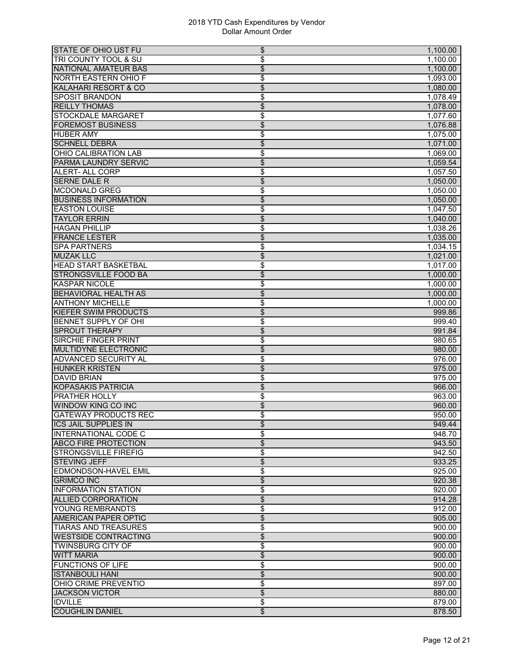| <b>STATE OF OHIO UST FU</b>                      | \$<br>1,100.00                     |
|--------------------------------------------------|------------------------------------|
| TRI COUNTY TOOL & SU                             | \$<br>1,100.00                     |
| <b>NATIONAL AMATEUR BAS</b>                      | \$<br>1,100.00                     |
| <b>NORTH EASTERN OHIO F</b>                      | \$<br>1,093.00                     |
| <b>KALAHARI RESORT &amp; CO</b>                  | \$<br>1,080.00                     |
| <b>SPOSIT BRANDON</b>                            | \$<br>1,078.49                     |
| <b>REILLY THOMAS</b>                             | \$<br>1,078.00                     |
| <b>STOCKDALE MARGARET</b>                        | \$<br>1,077.60                     |
| <b>FOREMOST BUSINESS</b>                         | $\overline{\$}$<br>1,076.88        |
| <b>HUBER AMY</b>                                 | \$<br>1,075.00                     |
| <b>SCHNELL DEBRA</b>                             | \$<br>1,071.00                     |
| <b>OHIO CALIBRATION LAB</b>                      | \$<br>1.069.00                     |
| PARMA LAUNDRY SERVIC                             | \$<br>1,059.54                     |
| <b>ALERT- ALL CORP</b>                           | \$<br>1,057.50                     |
| <b>SERNE DALE R</b>                              | \$<br>1,050.00                     |
| <b>MCDONALD GREG</b>                             | \$                                 |
| <b>BUSINESS INFORMATION</b>                      | 1,050.00                           |
| <b>EASTON LOUISE</b>                             | \$<br>1,050.00                     |
|                                                  | \$<br>1,047.50                     |
| <b>TAYLOR ERRIN</b>                              | \$<br>1,040.00                     |
| <b>HAGAN PHILLIP</b>                             | \$<br>1,038.26                     |
| <b>FRANCE LESTER</b>                             | \$<br>1,035.00                     |
| <b>SPA PARTNERS</b>                              | \$<br>1,034.15                     |
| <b>MUZAK LLC</b>                                 | \$<br>1,021.00                     |
| <b>HEAD START BASKETBAL</b>                      | \$<br>1,017.00                     |
| <b>STRONGSVILLE FOOD BA</b>                      | \$<br>1,000.00                     |
| <b>KASPAR NICOLE</b>                             | \$<br>1,000.00                     |
| <b>BEHAVIORAL HEALTH AS</b>                      | \$<br>1,000.00                     |
| <b>ANTHONY MICHELLE</b>                          | \$<br>1,000.00                     |
| KIEFER SWIM PRODUCTS                             | \$<br>999.86                       |
| <b>BENNET SUPPLY OF OHI</b>                      | \$<br>999.40                       |
| <b>SPROUT THERAPY</b>                            | \$<br>991.84                       |
| <b>SIRCHIE FINGER PRINT</b>                      | \$<br>980.65                       |
| <b>MULTIDYNE ELECTRONIC</b>                      | \$<br>980.00                       |
| <b>ADVANCED SECURITY AL</b>                      | \$<br>976.00                       |
| <b>HUNKER KRISTEN</b>                            | \$<br>975.00                       |
| <b>DAVID BRIAN</b>                               | \$<br>975.00                       |
| <b>KOPASAKIS PATRICIA</b>                        | \$<br>966.00                       |
| <b>PRATHER HOLLY</b>                             | \$<br>963.00                       |
| <b>WINDOW KING CO INC</b>                        | \$<br>960.00                       |
| <b>GATEWAY PRODUCTS REC</b>                      | \$<br>950.00                       |
| ICS JAIL SUPPLIES IN                             | 949.44<br>\$                       |
| <b>INTERNATIONAL CODE C</b>                      | \$<br>948.70                       |
| <b>ABCO FIRE PROTECTION</b>                      | $\overline{\$}$<br>943.50          |
| <b>ISTRONGSVILLE FIREFIG</b>                     | \$<br>942.50                       |
| <b>STEVING JEFF</b>                              | $\overline{\$}$<br>933.25          |
|                                                  |                                    |
| <b>EDMONDSON-HAVEL EMIL</b><br><b>GRIMCO INC</b> | \$<br>925.00                       |
|                                                  | \$<br>920.38                       |
| <b>INFORMATION STATION</b>                       | \$<br>920.00                       |
| <b>ALLIED CORPORATION</b>                        | \$<br>914.28                       |
| YOUNG REMBRANDTS                                 | \$<br>912.00                       |
| AMERICAN PAPER OPTIC                             | $\overline{\mathcal{L}}$<br>905.00 |
| <b>TIARAS AND TREASURES</b>                      | \$<br>900.00                       |
| <b>WESTSIDE CONTRACTING</b>                      | $\overline{\mathcal{L}}$<br>900.00 |
| <b>TWINSBURG CITY OF</b>                         | \$<br>900.00                       |
| <b>WITT MARIA</b>                                | \$<br>900.00                       |
| <b>FUNCTIONS OF LIFE</b>                         | \$<br>900.00                       |
| <b>ISTANBOULI HANI</b>                           | \$<br>900.00                       |
| <b>OHIO CRIME PREVENTIO</b>                      | \$<br>897.00                       |
| <b>JACKSON VICTOR</b>                            | $\overline{\$}$<br>880.00          |
| <b>IDVILLE</b>                                   | \$<br>879.00                       |
| <b>COUGHLIN DANIEL</b>                           | $\overline{\$}$<br>878.50          |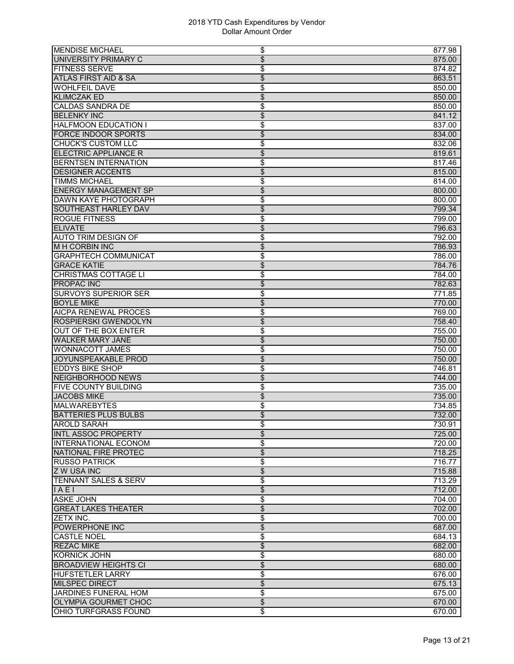| \$<br>UNIVERSITY PRIMARY C<br>875.00<br>\$<br><b>FITNESS SERVE</b><br>874.82<br>\$<br><b>ATLAS FIRST AID &amp; SA</b><br>863.51<br><b>WOHLFEIL DAVE</b><br>\$<br>850.00<br><b>KLIMCZAK ED</b><br>\$<br>850.00<br><b>CALDAS SANDRA DE</b><br>\$<br>850.00<br><b>BELENKY INC</b><br>\$<br>841.12<br>\$<br><b>HALFMOON EDUCATION I</b><br>837.00<br>\$<br><b>FORCE INDOOR SPORTS</b><br>834.00<br><b>CHUCK'S CUSTOM LLC</b><br>\$<br>832.06<br><b>ELECTRIC APPLIANCE R</b><br>\$<br>819.61<br><b>BERNTSEN INTERNATION</b><br>\$<br>817.46<br><b>DESIGNER ACCENTS</b><br>\$<br>815.00<br><b>TIMMS MICHAEL</b><br>\$<br>814.00<br>\$<br><b>ENERGY MANAGEMENT SP</b><br>800.00<br>\$<br><b>DAWN KAYE PHOTOGRAPH</b><br>800.00<br><b>SOUTHEAST HARLEY DAV</b><br>\$<br>799.34<br><b>ROGUE FITNESS</b><br>\$<br>799.00<br>\$<br><b>ELIVATE</b><br>796.63<br><b>AUTO TRIM DESIGN OF</b><br>\$<br>792.00<br><b>MH CORBIN INC</b><br>\$<br>786.93<br>\$<br><b>GRAPHTECH COMMUNICAT</b><br>786.00<br>\$<br><b>GRACE KATIE</b><br>784.76<br>\$<br><b>CHRISTMAS COTTAGE LI</b><br>784.00<br>\$<br><b>PROPAC INC</b><br>782.63<br><b>SURVOYS SUPERIOR SER</b><br>\$<br>771.85<br>\$<br><b>BOYLE MIKE</b><br>770.00<br><b>AICPA RENEWAL PROCES</b><br>\$<br>769.00<br>\$<br>ROSPIERSKI GWENDOLYN<br>758.40<br>\$<br><b>OUT OF THE BOX ENTER</b><br>755.00<br>$\overline{\$}$<br><b>WALKER MARY JANE</b><br>750.00<br><b>WONNACOTT JAMES</b><br>\$<br>750.00<br>\$<br>JOYUNSPEAKABLE PROD<br>750.00<br><b>EDDYS BIKE SHOP</b><br>\$<br>746.81<br>\$<br><b>NEIGHBORHOOD NEWS</b><br>744.00<br>\$<br><b>FIVE COUNTY BUILDING</b><br>735.00<br>\$<br><b>JACOBS MIKE</b><br>735.00<br>\$<br><b>MALWAREBYTES</b><br>734.85<br>\$<br><b>BATTERIES PLUS BULBS</b><br>732.00<br>730.91<br><b>AROLD SARAH</b><br>\$<br>\$<br>725.00<br><b>INTL ASSOC PROPERTY</b><br>\$<br><b>INTERNATIONAL ECONOM</b><br>720.00<br>\$<br>NATIONAL FIRE PROTEC<br>718.25<br>\$<br><b>RUSSO PATRICK</b><br>716.77<br>\$<br><b>Z W USA INC</b><br>715.88<br>\$<br><b>TENNANT SALES &amp; SERV</b><br>713.29<br>\$<br>IAE1<br>712.00<br>\$<br><b>ASKE JOHN</b><br>704.00<br>\$<br><b>GREAT LAKES THEATER</b><br>702.00<br>\$<br><b>ZETX INC.</b><br>700.00<br>$\overline{\$}$<br>POWERPHONE INC<br>687.00<br>\$<br><b>CASTLE NOEL</b><br>684.13<br>\$<br><b>REZAC MIKE</b><br>682.00<br><b>KORNICK JOHN</b><br>\$<br>680.00<br><b>BROADVIEW HEIGHTS CI</b><br>\$<br>680.00<br><b>HUFSTETLER LARRY</b><br>\$<br>676.00<br>MILSPEC DIRECT<br>\$<br>675.13<br>\$<br>JARDINES FUNERAL HOM<br>675.00<br>$\overline{\$}$<br><b>OLYMPIA GOURMET CHOC</b><br>670.00 | <b>MENDISE MICHAEL</b> | \$<br>877.98 |
|----------------------------------------------------------------------------------------------------------------------------------------------------------------------------------------------------------------------------------------------------------------------------------------------------------------------------------------------------------------------------------------------------------------------------------------------------------------------------------------------------------------------------------------------------------------------------------------------------------------------------------------------------------------------------------------------------------------------------------------------------------------------------------------------------------------------------------------------------------------------------------------------------------------------------------------------------------------------------------------------------------------------------------------------------------------------------------------------------------------------------------------------------------------------------------------------------------------------------------------------------------------------------------------------------------------------------------------------------------------------------------------------------------------------------------------------------------------------------------------------------------------------------------------------------------------------------------------------------------------------------------------------------------------------------------------------------------------------------------------------------------------------------------------------------------------------------------------------------------------------------------------------------------------------------------------------------------------------------------------------------------------------------------------------------------------------------------------------------------------------------------------------------------------------------------------------------------------------------------------------------------------------------------------------------------------------------------------------------------------------------------------------------------------------------------------------------------------------------------------------------------------------------------------------------------------------------------------------------------------|------------------------|--------------|
|                                                                                                                                                                                                                                                                                                                                                                                                                                                                                                                                                                                                                                                                                                                                                                                                                                                                                                                                                                                                                                                                                                                                                                                                                                                                                                                                                                                                                                                                                                                                                                                                                                                                                                                                                                                                                                                                                                                                                                                                                                                                                                                                                                                                                                                                                                                                                                                                                                                                                                                                                                                                                |                        |              |
|                                                                                                                                                                                                                                                                                                                                                                                                                                                                                                                                                                                                                                                                                                                                                                                                                                                                                                                                                                                                                                                                                                                                                                                                                                                                                                                                                                                                                                                                                                                                                                                                                                                                                                                                                                                                                                                                                                                                                                                                                                                                                                                                                                                                                                                                                                                                                                                                                                                                                                                                                                                                                |                        |              |
|                                                                                                                                                                                                                                                                                                                                                                                                                                                                                                                                                                                                                                                                                                                                                                                                                                                                                                                                                                                                                                                                                                                                                                                                                                                                                                                                                                                                                                                                                                                                                                                                                                                                                                                                                                                                                                                                                                                                                                                                                                                                                                                                                                                                                                                                                                                                                                                                                                                                                                                                                                                                                |                        |              |
|                                                                                                                                                                                                                                                                                                                                                                                                                                                                                                                                                                                                                                                                                                                                                                                                                                                                                                                                                                                                                                                                                                                                                                                                                                                                                                                                                                                                                                                                                                                                                                                                                                                                                                                                                                                                                                                                                                                                                                                                                                                                                                                                                                                                                                                                                                                                                                                                                                                                                                                                                                                                                |                        |              |
|                                                                                                                                                                                                                                                                                                                                                                                                                                                                                                                                                                                                                                                                                                                                                                                                                                                                                                                                                                                                                                                                                                                                                                                                                                                                                                                                                                                                                                                                                                                                                                                                                                                                                                                                                                                                                                                                                                                                                                                                                                                                                                                                                                                                                                                                                                                                                                                                                                                                                                                                                                                                                |                        |              |
|                                                                                                                                                                                                                                                                                                                                                                                                                                                                                                                                                                                                                                                                                                                                                                                                                                                                                                                                                                                                                                                                                                                                                                                                                                                                                                                                                                                                                                                                                                                                                                                                                                                                                                                                                                                                                                                                                                                                                                                                                                                                                                                                                                                                                                                                                                                                                                                                                                                                                                                                                                                                                |                        |              |
|                                                                                                                                                                                                                                                                                                                                                                                                                                                                                                                                                                                                                                                                                                                                                                                                                                                                                                                                                                                                                                                                                                                                                                                                                                                                                                                                                                                                                                                                                                                                                                                                                                                                                                                                                                                                                                                                                                                                                                                                                                                                                                                                                                                                                                                                                                                                                                                                                                                                                                                                                                                                                |                        |              |
|                                                                                                                                                                                                                                                                                                                                                                                                                                                                                                                                                                                                                                                                                                                                                                                                                                                                                                                                                                                                                                                                                                                                                                                                                                                                                                                                                                                                                                                                                                                                                                                                                                                                                                                                                                                                                                                                                                                                                                                                                                                                                                                                                                                                                                                                                                                                                                                                                                                                                                                                                                                                                |                        |              |
|                                                                                                                                                                                                                                                                                                                                                                                                                                                                                                                                                                                                                                                                                                                                                                                                                                                                                                                                                                                                                                                                                                                                                                                                                                                                                                                                                                                                                                                                                                                                                                                                                                                                                                                                                                                                                                                                                                                                                                                                                                                                                                                                                                                                                                                                                                                                                                                                                                                                                                                                                                                                                |                        |              |
|                                                                                                                                                                                                                                                                                                                                                                                                                                                                                                                                                                                                                                                                                                                                                                                                                                                                                                                                                                                                                                                                                                                                                                                                                                                                                                                                                                                                                                                                                                                                                                                                                                                                                                                                                                                                                                                                                                                                                                                                                                                                                                                                                                                                                                                                                                                                                                                                                                                                                                                                                                                                                |                        |              |
|                                                                                                                                                                                                                                                                                                                                                                                                                                                                                                                                                                                                                                                                                                                                                                                                                                                                                                                                                                                                                                                                                                                                                                                                                                                                                                                                                                                                                                                                                                                                                                                                                                                                                                                                                                                                                                                                                                                                                                                                                                                                                                                                                                                                                                                                                                                                                                                                                                                                                                                                                                                                                |                        |              |
|                                                                                                                                                                                                                                                                                                                                                                                                                                                                                                                                                                                                                                                                                                                                                                                                                                                                                                                                                                                                                                                                                                                                                                                                                                                                                                                                                                                                                                                                                                                                                                                                                                                                                                                                                                                                                                                                                                                                                                                                                                                                                                                                                                                                                                                                                                                                                                                                                                                                                                                                                                                                                |                        |              |
|                                                                                                                                                                                                                                                                                                                                                                                                                                                                                                                                                                                                                                                                                                                                                                                                                                                                                                                                                                                                                                                                                                                                                                                                                                                                                                                                                                                                                                                                                                                                                                                                                                                                                                                                                                                                                                                                                                                                                                                                                                                                                                                                                                                                                                                                                                                                                                                                                                                                                                                                                                                                                |                        |              |
|                                                                                                                                                                                                                                                                                                                                                                                                                                                                                                                                                                                                                                                                                                                                                                                                                                                                                                                                                                                                                                                                                                                                                                                                                                                                                                                                                                                                                                                                                                                                                                                                                                                                                                                                                                                                                                                                                                                                                                                                                                                                                                                                                                                                                                                                                                                                                                                                                                                                                                                                                                                                                |                        |              |
|                                                                                                                                                                                                                                                                                                                                                                                                                                                                                                                                                                                                                                                                                                                                                                                                                                                                                                                                                                                                                                                                                                                                                                                                                                                                                                                                                                                                                                                                                                                                                                                                                                                                                                                                                                                                                                                                                                                                                                                                                                                                                                                                                                                                                                                                                                                                                                                                                                                                                                                                                                                                                |                        |              |
|                                                                                                                                                                                                                                                                                                                                                                                                                                                                                                                                                                                                                                                                                                                                                                                                                                                                                                                                                                                                                                                                                                                                                                                                                                                                                                                                                                                                                                                                                                                                                                                                                                                                                                                                                                                                                                                                                                                                                                                                                                                                                                                                                                                                                                                                                                                                                                                                                                                                                                                                                                                                                |                        |              |
|                                                                                                                                                                                                                                                                                                                                                                                                                                                                                                                                                                                                                                                                                                                                                                                                                                                                                                                                                                                                                                                                                                                                                                                                                                                                                                                                                                                                                                                                                                                                                                                                                                                                                                                                                                                                                                                                                                                                                                                                                                                                                                                                                                                                                                                                                                                                                                                                                                                                                                                                                                                                                |                        |              |
|                                                                                                                                                                                                                                                                                                                                                                                                                                                                                                                                                                                                                                                                                                                                                                                                                                                                                                                                                                                                                                                                                                                                                                                                                                                                                                                                                                                                                                                                                                                                                                                                                                                                                                                                                                                                                                                                                                                                                                                                                                                                                                                                                                                                                                                                                                                                                                                                                                                                                                                                                                                                                |                        |              |
|                                                                                                                                                                                                                                                                                                                                                                                                                                                                                                                                                                                                                                                                                                                                                                                                                                                                                                                                                                                                                                                                                                                                                                                                                                                                                                                                                                                                                                                                                                                                                                                                                                                                                                                                                                                                                                                                                                                                                                                                                                                                                                                                                                                                                                                                                                                                                                                                                                                                                                                                                                                                                |                        |              |
|                                                                                                                                                                                                                                                                                                                                                                                                                                                                                                                                                                                                                                                                                                                                                                                                                                                                                                                                                                                                                                                                                                                                                                                                                                                                                                                                                                                                                                                                                                                                                                                                                                                                                                                                                                                                                                                                                                                                                                                                                                                                                                                                                                                                                                                                                                                                                                                                                                                                                                                                                                                                                |                        |              |
|                                                                                                                                                                                                                                                                                                                                                                                                                                                                                                                                                                                                                                                                                                                                                                                                                                                                                                                                                                                                                                                                                                                                                                                                                                                                                                                                                                                                                                                                                                                                                                                                                                                                                                                                                                                                                                                                                                                                                                                                                                                                                                                                                                                                                                                                                                                                                                                                                                                                                                                                                                                                                |                        |              |
|                                                                                                                                                                                                                                                                                                                                                                                                                                                                                                                                                                                                                                                                                                                                                                                                                                                                                                                                                                                                                                                                                                                                                                                                                                                                                                                                                                                                                                                                                                                                                                                                                                                                                                                                                                                                                                                                                                                                                                                                                                                                                                                                                                                                                                                                                                                                                                                                                                                                                                                                                                                                                |                        |              |
|                                                                                                                                                                                                                                                                                                                                                                                                                                                                                                                                                                                                                                                                                                                                                                                                                                                                                                                                                                                                                                                                                                                                                                                                                                                                                                                                                                                                                                                                                                                                                                                                                                                                                                                                                                                                                                                                                                                                                                                                                                                                                                                                                                                                                                                                                                                                                                                                                                                                                                                                                                                                                |                        |              |
|                                                                                                                                                                                                                                                                                                                                                                                                                                                                                                                                                                                                                                                                                                                                                                                                                                                                                                                                                                                                                                                                                                                                                                                                                                                                                                                                                                                                                                                                                                                                                                                                                                                                                                                                                                                                                                                                                                                                                                                                                                                                                                                                                                                                                                                                                                                                                                                                                                                                                                                                                                                                                |                        |              |
|                                                                                                                                                                                                                                                                                                                                                                                                                                                                                                                                                                                                                                                                                                                                                                                                                                                                                                                                                                                                                                                                                                                                                                                                                                                                                                                                                                                                                                                                                                                                                                                                                                                                                                                                                                                                                                                                                                                                                                                                                                                                                                                                                                                                                                                                                                                                                                                                                                                                                                                                                                                                                |                        |              |
|                                                                                                                                                                                                                                                                                                                                                                                                                                                                                                                                                                                                                                                                                                                                                                                                                                                                                                                                                                                                                                                                                                                                                                                                                                                                                                                                                                                                                                                                                                                                                                                                                                                                                                                                                                                                                                                                                                                                                                                                                                                                                                                                                                                                                                                                                                                                                                                                                                                                                                                                                                                                                |                        |              |
|                                                                                                                                                                                                                                                                                                                                                                                                                                                                                                                                                                                                                                                                                                                                                                                                                                                                                                                                                                                                                                                                                                                                                                                                                                                                                                                                                                                                                                                                                                                                                                                                                                                                                                                                                                                                                                                                                                                                                                                                                                                                                                                                                                                                                                                                                                                                                                                                                                                                                                                                                                                                                |                        |              |
|                                                                                                                                                                                                                                                                                                                                                                                                                                                                                                                                                                                                                                                                                                                                                                                                                                                                                                                                                                                                                                                                                                                                                                                                                                                                                                                                                                                                                                                                                                                                                                                                                                                                                                                                                                                                                                                                                                                                                                                                                                                                                                                                                                                                                                                                                                                                                                                                                                                                                                                                                                                                                |                        |              |
|                                                                                                                                                                                                                                                                                                                                                                                                                                                                                                                                                                                                                                                                                                                                                                                                                                                                                                                                                                                                                                                                                                                                                                                                                                                                                                                                                                                                                                                                                                                                                                                                                                                                                                                                                                                                                                                                                                                                                                                                                                                                                                                                                                                                                                                                                                                                                                                                                                                                                                                                                                                                                |                        |              |
|                                                                                                                                                                                                                                                                                                                                                                                                                                                                                                                                                                                                                                                                                                                                                                                                                                                                                                                                                                                                                                                                                                                                                                                                                                                                                                                                                                                                                                                                                                                                                                                                                                                                                                                                                                                                                                                                                                                                                                                                                                                                                                                                                                                                                                                                                                                                                                                                                                                                                                                                                                                                                |                        |              |
|                                                                                                                                                                                                                                                                                                                                                                                                                                                                                                                                                                                                                                                                                                                                                                                                                                                                                                                                                                                                                                                                                                                                                                                                                                                                                                                                                                                                                                                                                                                                                                                                                                                                                                                                                                                                                                                                                                                                                                                                                                                                                                                                                                                                                                                                                                                                                                                                                                                                                                                                                                                                                |                        |              |
|                                                                                                                                                                                                                                                                                                                                                                                                                                                                                                                                                                                                                                                                                                                                                                                                                                                                                                                                                                                                                                                                                                                                                                                                                                                                                                                                                                                                                                                                                                                                                                                                                                                                                                                                                                                                                                                                                                                                                                                                                                                                                                                                                                                                                                                                                                                                                                                                                                                                                                                                                                                                                |                        |              |
|                                                                                                                                                                                                                                                                                                                                                                                                                                                                                                                                                                                                                                                                                                                                                                                                                                                                                                                                                                                                                                                                                                                                                                                                                                                                                                                                                                                                                                                                                                                                                                                                                                                                                                                                                                                                                                                                                                                                                                                                                                                                                                                                                                                                                                                                                                                                                                                                                                                                                                                                                                                                                |                        |              |
|                                                                                                                                                                                                                                                                                                                                                                                                                                                                                                                                                                                                                                                                                                                                                                                                                                                                                                                                                                                                                                                                                                                                                                                                                                                                                                                                                                                                                                                                                                                                                                                                                                                                                                                                                                                                                                                                                                                                                                                                                                                                                                                                                                                                                                                                                                                                                                                                                                                                                                                                                                                                                |                        |              |
|                                                                                                                                                                                                                                                                                                                                                                                                                                                                                                                                                                                                                                                                                                                                                                                                                                                                                                                                                                                                                                                                                                                                                                                                                                                                                                                                                                                                                                                                                                                                                                                                                                                                                                                                                                                                                                                                                                                                                                                                                                                                                                                                                                                                                                                                                                                                                                                                                                                                                                                                                                                                                |                        |              |
|                                                                                                                                                                                                                                                                                                                                                                                                                                                                                                                                                                                                                                                                                                                                                                                                                                                                                                                                                                                                                                                                                                                                                                                                                                                                                                                                                                                                                                                                                                                                                                                                                                                                                                                                                                                                                                                                                                                                                                                                                                                                                                                                                                                                                                                                                                                                                                                                                                                                                                                                                                                                                |                        |              |
|                                                                                                                                                                                                                                                                                                                                                                                                                                                                                                                                                                                                                                                                                                                                                                                                                                                                                                                                                                                                                                                                                                                                                                                                                                                                                                                                                                                                                                                                                                                                                                                                                                                                                                                                                                                                                                                                                                                                                                                                                                                                                                                                                                                                                                                                                                                                                                                                                                                                                                                                                                                                                |                        |              |
|                                                                                                                                                                                                                                                                                                                                                                                                                                                                                                                                                                                                                                                                                                                                                                                                                                                                                                                                                                                                                                                                                                                                                                                                                                                                                                                                                                                                                                                                                                                                                                                                                                                                                                                                                                                                                                                                                                                                                                                                                                                                                                                                                                                                                                                                                                                                                                                                                                                                                                                                                                                                                |                        |              |
|                                                                                                                                                                                                                                                                                                                                                                                                                                                                                                                                                                                                                                                                                                                                                                                                                                                                                                                                                                                                                                                                                                                                                                                                                                                                                                                                                                                                                                                                                                                                                                                                                                                                                                                                                                                                                                                                                                                                                                                                                                                                                                                                                                                                                                                                                                                                                                                                                                                                                                                                                                                                                |                        |              |
|                                                                                                                                                                                                                                                                                                                                                                                                                                                                                                                                                                                                                                                                                                                                                                                                                                                                                                                                                                                                                                                                                                                                                                                                                                                                                                                                                                                                                                                                                                                                                                                                                                                                                                                                                                                                                                                                                                                                                                                                                                                                                                                                                                                                                                                                                                                                                                                                                                                                                                                                                                                                                |                        |              |
|                                                                                                                                                                                                                                                                                                                                                                                                                                                                                                                                                                                                                                                                                                                                                                                                                                                                                                                                                                                                                                                                                                                                                                                                                                                                                                                                                                                                                                                                                                                                                                                                                                                                                                                                                                                                                                                                                                                                                                                                                                                                                                                                                                                                                                                                                                                                                                                                                                                                                                                                                                                                                |                        |              |
|                                                                                                                                                                                                                                                                                                                                                                                                                                                                                                                                                                                                                                                                                                                                                                                                                                                                                                                                                                                                                                                                                                                                                                                                                                                                                                                                                                                                                                                                                                                                                                                                                                                                                                                                                                                                                                                                                                                                                                                                                                                                                                                                                                                                                                                                                                                                                                                                                                                                                                                                                                                                                |                        |              |
|                                                                                                                                                                                                                                                                                                                                                                                                                                                                                                                                                                                                                                                                                                                                                                                                                                                                                                                                                                                                                                                                                                                                                                                                                                                                                                                                                                                                                                                                                                                                                                                                                                                                                                                                                                                                                                                                                                                                                                                                                                                                                                                                                                                                                                                                                                                                                                                                                                                                                                                                                                                                                |                        |              |
|                                                                                                                                                                                                                                                                                                                                                                                                                                                                                                                                                                                                                                                                                                                                                                                                                                                                                                                                                                                                                                                                                                                                                                                                                                                                                                                                                                                                                                                                                                                                                                                                                                                                                                                                                                                                                                                                                                                                                                                                                                                                                                                                                                                                                                                                                                                                                                                                                                                                                                                                                                                                                |                        |              |
|                                                                                                                                                                                                                                                                                                                                                                                                                                                                                                                                                                                                                                                                                                                                                                                                                                                                                                                                                                                                                                                                                                                                                                                                                                                                                                                                                                                                                                                                                                                                                                                                                                                                                                                                                                                                                                                                                                                                                                                                                                                                                                                                                                                                                                                                                                                                                                                                                                                                                                                                                                                                                |                        |              |
|                                                                                                                                                                                                                                                                                                                                                                                                                                                                                                                                                                                                                                                                                                                                                                                                                                                                                                                                                                                                                                                                                                                                                                                                                                                                                                                                                                                                                                                                                                                                                                                                                                                                                                                                                                                                                                                                                                                                                                                                                                                                                                                                                                                                                                                                                                                                                                                                                                                                                                                                                                                                                |                        |              |
|                                                                                                                                                                                                                                                                                                                                                                                                                                                                                                                                                                                                                                                                                                                                                                                                                                                                                                                                                                                                                                                                                                                                                                                                                                                                                                                                                                                                                                                                                                                                                                                                                                                                                                                                                                                                                                                                                                                                                                                                                                                                                                                                                                                                                                                                                                                                                                                                                                                                                                                                                                                                                |                        |              |
|                                                                                                                                                                                                                                                                                                                                                                                                                                                                                                                                                                                                                                                                                                                                                                                                                                                                                                                                                                                                                                                                                                                                                                                                                                                                                                                                                                                                                                                                                                                                                                                                                                                                                                                                                                                                                                                                                                                                                                                                                                                                                                                                                                                                                                                                                                                                                                                                                                                                                                                                                                                                                |                        |              |
|                                                                                                                                                                                                                                                                                                                                                                                                                                                                                                                                                                                                                                                                                                                                                                                                                                                                                                                                                                                                                                                                                                                                                                                                                                                                                                                                                                                                                                                                                                                                                                                                                                                                                                                                                                                                                                                                                                                                                                                                                                                                                                                                                                                                                                                                                                                                                                                                                                                                                                                                                                                                                |                        |              |
|                                                                                                                                                                                                                                                                                                                                                                                                                                                                                                                                                                                                                                                                                                                                                                                                                                                                                                                                                                                                                                                                                                                                                                                                                                                                                                                                                                                                                                                                                                                                                                                                                                                                                                                                                                                                                                                                                                                                                                                                                                                                                                                                                                                                                                                                                                                                                                                                                                                                                                                                                                                                                |                        |              |
|                                                                                                                                                                                                                                                                                                                                                                                                                                                                                                                                                                                                                                                                                                                                                                                                                                                                                                                                                                                                                                                                                                                                                                                                                                                                                                                                                                                                                                                                                                                                                                                                                                                                                                                                                                                                                                                                                                                                                                                                                                                                                                                                                                                                                                                                                                                                                                                                                                                                                                                                                                                                                |                        |              |
|                                                                                                                                                                                                                                                                                                                                                                                                                                                                                                                                                                                                                                                                                                                                                                                                                                                                                                                                                                                                                                                                                                                                                                                                                                                                                                                                                                                                                                                                                                                                                                                                                                                                                                                                                                                                                                                                                                                                                                                                                                                                                                                                                                                                                                                                                                                                                                                                                                                                                                                                                                                                                |                        |              |
|                                                                                                                                                                                                                                                                                                                                                                                                                                                                                                                                                                                                                                                                                                                                                                                                                                                                                                                                                                                                                                                                                                                                                                                                                                                                                                                                                                                                                                                                                                                                                                                                                                                                                                                                                                                                                                                                                                                                                                                                                                                                                                                                                                                                                                                                                                                                                                                                                                                                                                                                                                                                                |                        |              |
|                                                                                                                                                                                                                                                                                                                                                                                                                                                                                                                                                                                                                                                                                                                                                                                                                                                                                                                                                                                                                                                                                                                                                                                                                                                                                                                                                                                                                                                                                                                                                                                                                                                                                                                                                                                                                                                                                                                                                                                                                                                                                                                                                                                                                                                                                                                                                                                                                                                                                                                                                                                                                |                        |              |
|                                                                                                                                                                                                                                                                                                                                                                                                                                                                                                                                                                                                                                                                                                                                                                                                                                                                                                                                                                                                                                                                                                                                                                                                                                                                                                                                                                                                                                                                                                                                                                                                                                                                                                                                                                                                                                                                                                                                                                                                                                                                                                                                                                                                                                                                                                                                                                                                                                                                                                                                                                                                                |                        |              |
|                                                                                                                                                                                                                                                                                                                                                                                                                                                                                                                                                                                                                                                                                                                                                                                                                                                                                                                                                                                                                                                                                                                                                                                                                                                                                                                                                                                                                                                                                                                                                                                                                                                                                                                                                                                                                                                                                                                                                                                                                                                                                                                                                                                                                                                                                                                                                                                                                                                                                                                                                                                                                |                        |              |
|                                                                                                                                                                                                                                                                                                                                                                                                                                                                                                                                                                                                                                                                                                                                                                                                                                                                                                                                                                                                                                                                                                                                                                                                                                                                                                                                                                                                                                                                                                                                                                                                                                                                                                                                                                                                                                                                                                                                                                                                                                                                                                                                                                                                                                                                                                                                                                                                                                                                                                                                                                                                                |                        |              |
|                                                                                                                                                                                                                                                                                                                                                                                                                                                                                                                                                                                                                                                                                                                                                                                                                                                                                                                                                                                                                                                                                                                                                                                                                                                                                                                                                                                                                                                                                                                                                                                                                                                                                                                                                                                                                                                                                                                                                                                                                                                                                                                                                                                                                                                                                                                                                                                                                                                                                                                                                                                                                |                        |              |
|                                                                                                                                                                                                                                                                                                                                                                                                                                                                                                                                                                                                                                                                                                                                                                                                                                                                                                                                                                                                                                                                                                                                                                                                                                                                                                                                                                                                                                                                                                                                                                                                                                                                                                                                                                                                                                                                                                                                                                                                                                                                                                                                                                                                                                                                                                                                                                                                                                                                                                                                                                                                                |                        |              |
|                                                                                                                                                                                                                                                                                                                                                                                                                                                                                                                                                                                                                                                                                                                                                                                                                                                                                                                                                                                                                                                                                                                                                                                                                                                                                                                                                                                                                                                                                                                                                                                                                                                                                                                                                                                                                                                                                                                                                                                                                                                                                                                                                                                                                                                                                                                                                                                                                                                                                                                                                                                                                |                        |              |
|                                                                                                                                                                                                                                                                                                                                                                                                                                                                                                                                                                                                                                                                                                                                                                                                                                                                                                                                                                                                                                                                                                                                                                                                                                                                                                                                                                                                                                                                                                                                                                                                                                                                                                                                                                                                                                                                                                                                                                                                                                                                                                                                                                                                                                                                                                                                                                                                                                                                                                                                                                                                                | OHIO TURFGRASS FOUND   | \$<br>670.00 |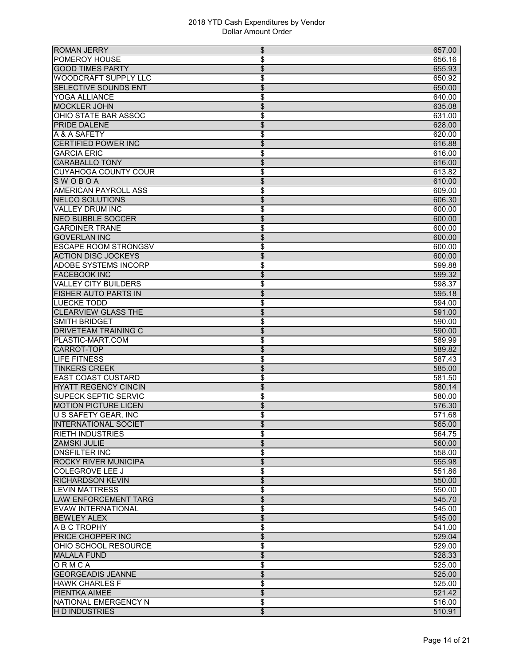| <b>ROMAN JERRY</b>          | \$<br>657.00                       |
|-----------------------------|------------------------------------|
| <b>POMEROY HOUSE</b>        | \$<br>656.16                       |
| <b>GOOD TIMES PARTY</b>     | $\overline{\$}$<br>655.93          |
| <b>WOODCRAFT SUPPLY LLC</b> | \$<br>650.92                       |
| <b>SELECTIVE SOUNDS ENT</b> | $\overline{\mathcal{S}}$<br>650.00 |
| YOGA ALLIANCE               | \$<br>640.00                       |
| <b>MOCKLER JOHN</b>         | \$<br>635.08                       |
| OHIO STATE BAR ASSOC        | \$<br>631.00                       |
| <b>PRIDE DALENE</b>         | \$<br>628.00                       |
| A & A SAFETY                | \$<br>620.00                       |
| <b>CERTIFIED POWER INC</b>  | \$<br>616.88                       |
| <b>GARCIA ERIC</b>          | \$<br>616.00                       |
| <b>CARABALLO TONY</b>       | \$<br>616.00                       |
| <b>CUYAHOGA COUNTY COUR</b> | \$<br>613.82                       |
| <b>SWOBOA</b>               | \$<br>610.00                       |
| <b>AMERICAN PAYROLL ASS</b> | \$<br>609.00                       |
| <b>NELCO SOLUTIONS</b>      | $\overline{\$}$<br>606.30          |
| <b>VALLEY DRUM INC</b>      | \$<br>600.00                       |
| <b>NEO BUBBLE SOCCER</b>    | \$<br>600.00                       |
| <b>GARDINER TRANE</b>       | \$<br>600.00                       |
| <b>GOVERLAN INC</b>         | \$<br>600.00                       |
| <b>ESCAPE ROOM STRONGSV</b> | \$<br>600.00                       |
| <b>ACTION DISC JOCKEYS</b>  | \$<br>600.00                       |
| <b>ADOBE SYSTEMS INCORP</b> | \$<br>599.88                       |
| <b>FACEBOOK INC</b>         | \$<br>599.32                       |
| <b>VALLEY CITY BUILDERS</b> | \$<br>598.37                       |
| <b>FISHER AUTO PARTS IN</b> | \$<br>595.18                       |
| <b>LUECKE TODD</b>          | \$<br>594.00                       |
| <b>CLEARVIEW GLASS THE</b>  | \$<br>591.00                       |
| <b>SMITH BRIDGET</b>        | \$<br>590.00                       |
| <b>DRIVETEAM TRAINING C</b> | $\overline{\mathcal{L}}$<br>590.00 |
| PLASTIC-MART.COM            | \$<br>589.99                       |
| <b>CARROT-TOP</b>           | \$<br>589.82                       |
| LIFE FITNESS                | \$<br>587.43                       |
| <b>TINKERS CREEK</b>        | \$<br>585.00                       |
| <b>EAST COAST CUSTARD</b>   | \$<br>581.50                       |
| <b>HYATT REGENCY CINCIN</b> | \$<br>580.14                       |
| <b>SUPECK SEPTIC SERVIC</b> | \$<br>580.00                       |
| <b>MOTION PICTURE LICEN</b> | \$<br>576.30                       |
| U S SAFETY GEAR, INC        | \$<br>$\frac{1}{571.68}$           |
| <b>INTERNATIONAL SOCIET</b> | 565.00<br>\$                       |
| <b>RIETH INDUSTRIES</b>     | \$<br>564.75                       |
| <b>ZAMSKI JULIE</b>         | \$<br>560.00                       |
| <b>DNSFILTER INC</b>        | \$<br>558.00                       |
| <b>ROCKY RIVER MUNICIPA</b> | $\overline{\mathcal{L}}$<br>555.98 |
| <b>COLEGROVE LEE J</b>      | \$<br>551.86                       |
| <b>RICHARDSON KEVIN</b>     | \$<br>550.00                       |
| <b>LEVIN MATTRESS</b>       | \$<br>550.00                       |
| <b>LAW ENFORCEMENT TARG</b> | \$<br>545.70                       |
| EVAW INTERNATIONAL          | \$<br>545.00                       |
| <b>BEWLEY ALEX</b>          | $\overline{\mathcal{L}}$<br>545.00 |
| A B C TROPHY                | \$<br>541.00                       |
| PRICE CHOPPER INC           | $\overline{\$}$<br>529.04          |
| OHIO SCHOOL RESOURCE        | \$<br>529.00                       |
| <b>MALALA FUND</b>          | \$<br>528.33                       |
| ORMCA                       | \$<br>525.00                       |
| <b>GEORGEADIS JEANNE</b>    | \$<br>525.00                       |
| <b>HAWK CHARLES F</b>       | \$<br>525.00                       |
| <b>PIENTKA AIMEE</b>        | $\overline{\mathcal{L}}$<br>521.42 |
| <b>NATIONAL EMERGENCY N</b> | \$<br>516.00                       |
| <b>HD INDUSTRIES</b>        | $\overline{\mathcal{L}}$<br>510.91 |
|                             |                                    |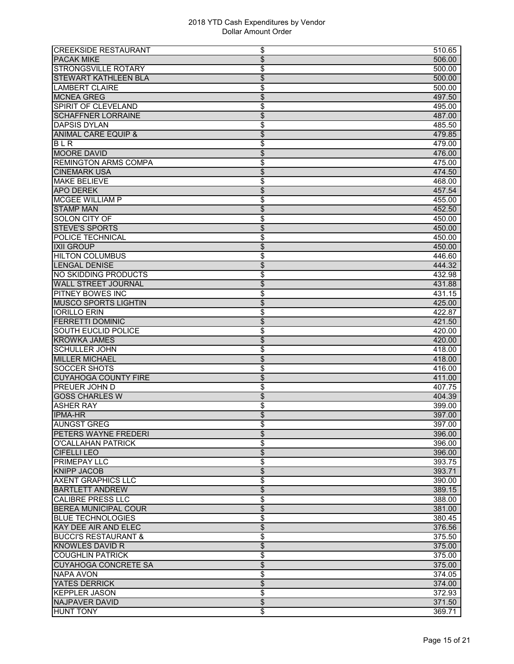| <b>CREEKSIDE RESTAURANT</b>     | \$                  | 510.65 |
|---------------------------------|---------------------|--------|
| <b>PACAK MIKE</b>               | \$                  | 506.00 |
| <b>STRONGSVILLE ROTARY</b>      | \$                  | 500.00 |
| <b>STEWART KATHLEEN BLA</b>     | \$                  | 500.00 |
| <b>LAMBERT CLAIRE</b>           | \$                  | 500.00 |
| <b>MCNEA GREG</b>               | \$                  | 497.50 |
| SPIRIT OF CLEVELAND             | \$                  | 495.00 |
| <b>SCHAFFNER LORRAINE</b>       | \$                  | 487.00 |
| <b>DAPSIS DYLAN</b>             | \$                  | 485.50 |
| <b>ANIMAL CARE EQUIP &amp;</b>  | \$                  | 479.85 |
| <b>BLR</b>                      | \$                  | 479.00 |
| <b>MOORE DAVID</b>              | \$                  | 476.00 |
| <b>REMINGTON ARMS COMPA</b>     | \$                  | 475.00 |
| <b>CINEMARK USA</b>             | \$                  | 474.50 |
| <b>MAKE BELIEVE</b>             | \$                  | 468.00 |
| <b>APO DEREK</b>                | \$                  | 457.54 |
| <b>MCGEE WILLIAM P</b>          | \$                  | 455.00 |
| <b>STAMP MAN</b>                | \$                  | 452.50 |
| <b>SOLON CITY OF</b>            | \$                  | 450.00 |
| <b>STEVE'S SPORTS</b>           | \$                  | 450.00 |
| POLICE TECHNICAL                | \$                  | 450.00 |
| <b>IXII GROUP</b>               | $\overline{\$}$     | 450.00 |
| <b>HILTON COLUMBUS</b>          | \$                  | 446.60 |
| <b>LENGAL DENISE</b>            | \$                  | 444.32 |
| NO SKIDDING PRODUCTS            | \$                  | 432.98 |
| <b>WALL STREET JOURNAL</b>      | \$                  | 431.88 |
| <b>PITNEY BOWES INC</b>         | \$                  | 431.15 |
| <b>MUSCO SPORTS LIGHTIN</b>     | \$                  | 425.00 |
| <b>IORILLO ERIN</b>             | \$                  | 422.87 |
| <b>FERRETTI DOMINIC</b>         | \$                  | 421.50 |
| <b>SOUTH EUCLID POLICE</b>      | \$                  | 420.00 |
| <b>KROWKA JAMES</b>             | \$                  | 420.00 |
| <b>SCHULLER JOHN</b>            | \$                  | 418.00 |
| <b>MILLER MICHAEL</b>           | \$                  | 418.00 |
| <b>SOCCER SHOTS</b>             | \$                  | 416.00 |
| <b>CUYAHOGA COUNTY FIRE</b>     | \$                  | 411.00 |
| <b>PREUER JOHN D</b>            | \$                  | 407.75 |
| <b>GOSS CHARLES W</b>           | $\overline{\$}$     | 404.39 |
| <b>ASHER RAY</b>                | \$                  | 399.00 |
| <b>IPMA-HR</b>                  | \$                  | 397.00 |
| <b>AUNGST GREG</b>              | \$                  | 397.00 |
| <b>PETERS WAYNE FREDERI</b>     | \$                  | 396.00 |
| O'CALLAHAN PATRICK              | \$                  | 396.00 |
| <b>CIFELLI LEO</b>              | \$                  | 396.00 |
| <b>PRIMEPAY LLC</b>             | \$                  | 393.75 |
| <b>KNIPP JACOB</b>              | \$                  | 393.71 |
| <b>AXENT GRAPHICS LLC</b>       | \$                  | 390.00 |
| <b>BARTLETT ANDREW</b>          | \$                  | 389.15 |
| <b>CALIBRE PRESS LLC</b>        | \$                  | 388.00 |
| <b>BEREA MUNICIPAL COUR</b>     | \$                  | 381.00 |
| <b>BLUE TECHNOLOGIES</b>        | \$                  | 380.45 |
| <b>KAY DEE AIR AND ELEC</b>     | $\overline{\$}$     | 376.56 |
| <b>BUCCI'S RESTAURANT &amp;</b> | \$                  | 375.50 |
| <b>KNOWLES DAVID R</b>          | \$                  | 375.00 |
| <b>COUGHLIN PATRICK</b>         | \$                  | 375.00 |
| <b>CUYAHOGA CONCRETE SA</b>     | \$                  | 375.00 |
| <b>NAPA AVON</b>                | \$                  | 374.05 |
| YATES DERRICK                   | \$                  | 374.00 |
| <b>KEPPLER JASON</b>            | \$                  | 372.93 |
| <b>NAJPAVER DAVID</b>           | $\overline{\theta}$ | 371.50 |
| <b>HUNT TONY</b>                | \$                  | 369.71 |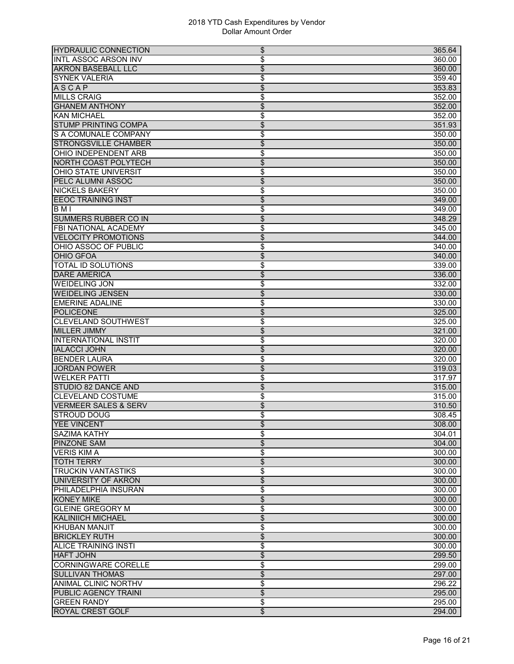| <b>HYDRAULIC CONNECTION</b>     | \$<br>365.64              |
|---------------------------------|---------------------------|
| <b>INTL ASSOC ARSON INV</b>     | \$<br>360.00              |
| <b>AKRON BASEBALL LLC</b>       | \$<br>360.00              |
| <b>SYNEK VALERIA</b>            | \$<br>359.40              |
| <b>ASCAP</b>                    | \$<br>353.83              |
| <b>MILLS CRAIG</b>              | \$<br>352.00              |
| <b>GHANEM ANTHONY</b>           | \$<br>352.00              |
| <b>KAN MICHAEL</b>              | \$<br>352.00              |
| <b>STUMP PRINTING COMPA</b>     | \$<br>351.93              |
| S A COMUNALE COMPANY            | \$<br>350.00              |
| <b>STRONGSVILLE CHAMBER</b>     | \$<br>350.00              |
| <b>OHIO INDEPENDENT ARB</b>     | \$<br>350.00              |
| <b>NORTH COAST POLYTECH</b>     | \$<br>350.00              |
| <b>OHIO STATE UNIVERSIT</b>     |                           |
|                                 | \$<br>350.00              |
| PELC ALUMNI ASSOC               | \$<br>350.00              |
| <b>NICKELS BAKERY</b>           | \$<br>350.00              |
| <b>EEOC TRAINING INST</b>       | \$<br>349.00              |
| BMI                             | \$<br>349.00              |
| <b>SUMMERS RUBBER CO IN</b>     | \$<br>348.29              |
| FBI NATIONAL ACADEMY            | \$<br>345.00              |
| <b>VELOCITY PROMOTIONS</b>      | \$<br>344.00              |
| OHIO ASSOC OF PUBLIC            | \$<br>340.00              |
| <b>OHIO GFOA</b>                | \$<br>340.00              |
| <b>TOTAL ID SOLUTIONS</b>       | \$<br>339.00              |
| <b>DARE AMERICA</b>             | \$<br>336.00              |
| <b>WEIDELING JON</b>            | \$<br>332.00              |
| <b>WEIDELING JENSEN</b>         | \$<br>330.00              |
| <b>EMERINE ADALINE</b>          | \$<br>330.00              |
| <b>POLICEONE</b>                | \$<br>325.00              |
| <b>CLEVELAND SOUTHWEST</b>      | \$<br>325.00              |
| <b>MILLER JIMMY</b>             | $\overline{\$}$<br>321.00 |
| <b>INTERNATIONAL INSTIT</b>     | \$<br>320.00              |
| <b>IALACCI JOHN</b>             | \$<br>320.00              |
| <b>BENDER LAURA</b>             | \$<br>320.00              |
| <b>JORDAN POWER</b>             | \$<br>319.03              |
| <b>WELKER PATTI</b>             | \$<br>317.97              |
| STUDIO 82 DANCE AND             | \$<br>315.00              |
| <b>CLEVELAND COSTUME</b>        | \$<br>315.00              |
| <b>VERMEER SALES &amp; SERV</b> | \$<br>310.50              |
| <b>STROUD DOUG</b>              | \$<br>308.45              |
| <b>YEE VINCENT</b>              | 308.00                    |
| <b>SAZIMA KATHY</b>             | \$<br>\$<br>304.01        |
| <b>PINZONE SAM</b>              |                           |
|                                 | \$<br>304.00              |
| <b>VERIS KIM A</b>              | \$<br>300.00              |
| <b>TOTH TERRY</b>               | $\overline{\$}$<br>300.00 |
| <b>TRUCKIN VANTASTIKS</b>       | \$<br>300.00              |
| <b>UNIVERSITY OF AKRON</b>      | \$<br>300.00              |
| <b>I</b> PHILADELPHIA INSURAN   | \$<br>300.00              |
| <b>KONEY MIKE</b>               | \$<br>300.00              |
| <b>GLEINE GREGORY M</b>         | \$<br>300.00              |
| <b>KALINIICH MICHAEL</b>        | \$<br>300.00              |
| <b>KHUBAN MANJIT</b>            | \$<br>300.00              |
| <b>BRICKLEY RUTH</b>            | \$<br>300.00              |
| <b>ALICE TRAINING INSTI</b>     | \$<br>300.00              |
| <b>HAFT JOHN</b>                | \$<br>299.50              |
| <b>CORNINGWARE CORELLE</b>      | \$<br>299.00              |
| <b>SULLIVAN THOMAS</b>          | \$<br>297.00              |
| ANIMAL CLINIC NORTHV            | \$<br>296.22              |
| PUBLIC AGENCY TRAINI            | $\overline{\$}$<br>295.00 |
| <b>GREEN RANDY</b>              | \$<br>295.00              |
| <b>ROYAL CREST GOLF</b>         | \$<br>294.00              |
|                                 |                           |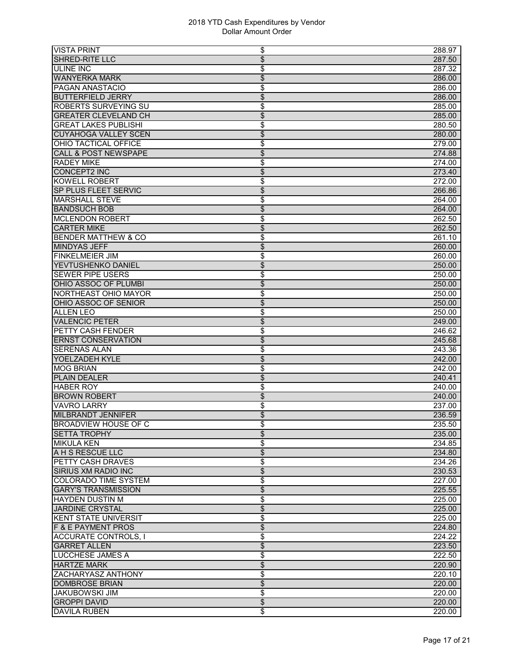| <b>VISTA PRINT</b><br>\$                                  | 288.97           |
|-----------------------------------------------------------|------------------|
| \$<br>SHRED-RITE LLC                                      | 287.50           |
| \$<br><b>ULINE INC</b>                                    | 287.32           |
| <b>WANYERKA MARK</b><br>\$                                | 286.00           |
| <b>PAGAN ANASTACIO</b><br>\$                              | 286.00           |
| <b>BUTTERFIELD JERRY</b><br>\$                            | 286.00           |
| <b>ROBERTS SURVEYING SU</b><br>\$                         | 285.00           |
| <b>GREATER CLEVELAND CH</b><br>\$                         | 285.00           |
| \$<br><b>GREAT LAKES PUBLISHI</b>                         | 280.50           |
| \$<br><b>CUYAHOGA VALLEY SCEN</b>                         | 280.00           |
| OHIO TACTICAL OFFICE<br>\$                                | 279.00           |
| <b>CALL &amp; POST NEWSPAPE</b><br>\$                     | 274.88           |
| <b>RADEY MIKE</b><br>\$                                   | 274.00           |
| <b>CONCEPT2 INC</b><br>\$                                 | 273.40           |
| <b>KOWELL ROBERT</b><br>\$                                | 272.00           |
| \$<br>SP PLUS FLEET SERVIC                                | 266.86           |
| \$<br><b>MARSHALL STEVE</b>                               | 264.00           |
| <b>BANDSUCH BOB</b><br>\$                                 |                  |
| <b>MCLENDON ROBERT</b>                                    | 264.00<br>262.50 |
| \$<br><b>CARTER MIKE</b>                                  |                  |
| \$                                                        | 262.50           |
| <b>BENDER MATTHEW &amp; CO</b><br>\$                      | 261.10           |
| <b>MINDYAS JEFF</b><br>\$                                 | 260.00           |
| <b>FINKELMEIER JIM</b><br>\$                              | 260.00           |
| \$<br>YEVTUSHENKO DANIEL                                  | 250.00           |
| <b>SEWER PIPE USERS</b><br>\$                             | 250.00           |
| OHIO ASSOC OF PLUMBI<br>\$                                | 250.00           |
| <b>NORTHEAST OHIO MAYOR</b><br>\$                         | 250.00           |
| OHIO ASSOC OF SENIOR<br>\$                                | 250.00           |
| <b>ALLEN LEO</b><br>\$                                    | 250.00           |
| $\overline{\mathcal{L}}$<br><b>VALENCIC PETER</b>         | 249.00           |
| \$<br>PETTY CASH FENDER                                   | 246.62           |
| $\overline{\$}$<br><b>ERNST CONSERVATION</b>              | 245.68           |
| <b>SERENAS ALAN</b><br>\$                                 | 243.36           |
| \$<br>YOELZADEH KYLE                                      | 242.00           |
| <b>MOG BRIAN</b><br>\$                                    | 242.00           |
| \$<br><b>PLAIN DEALER</b>                                 | 240.41           |
| <b>HABER ROY</b><br>\$                                    | 240.00           |
| \$<br><b>BROWN ROBERT</b>                                 | 240.00           |
| <b>VAVRO LARRY</b><br>\$                                  | 237.00           |
| \$<br><b>MILBRANDT JENNIFER</b>                           | 236.59           |
| <b>BROADVIEW HOUSE OF C</b><br>\$                         | 235.50           |
| \$<br><b>SETTA TROPHY</b>                                 | 235.00           |
| \$<br><b>MIKULA KEN</b>                                   | 234.85           |
| \$<br><b>A H S RESCUE LLC</b>                             | 234.80           |
| \$<br><b>PETTY CASH DRAVES</b>                            | 234.26           |
| \$<br>SIRIUS XM RADIO INC                                 | 230.53           |
| <b>COLORADO TIME SYSTEM</b><br>\$                         | 227.00           |
| $\overline{\mathcal{L}}$<br><b>GARY'S TRANSMISSION</b>    | 225.55           |
| <b>HAYDEN DUSTIN M</b><br>\$                              | 225.00           |
| \$<br>JARDINE CRYSTAL                                     | 225.00           |
| <b>KENT STATE UNIVERSIT</b><br>\$                         | 225.00           |
| $\overline{\mathcal{L}}$<br><b>F &amp; E PAYMENT PROS</b> | 224.80           |
| \$<br><b>ACCURATE CONTROLS, I</b>                         | 224.22           |
| \$<br><b>GARRET ALLEN</b>                                 | 223.50           |
| <b>LUCCHESE JAMES A</b><br>\$                             | 222.50           |
| <b>HARTZE MARK</b><br>\$                                  | 220.90           |
| \$<br><b>ZACHARYASZ ANTHONY</b>                           | 220.10           |
| \$<br><b>DOMBROSE BRIAN</b>                               | 220.00           |
| \$<br><b>JAKUBOWSKI JIM</b>                               | 220.00           |
| $\overline{\$}$<br><b>GROPPI DAVID</b>                    | 220.00           |
| <b>DAVILA RUBEN</b><br>\$                                 | 220.00           |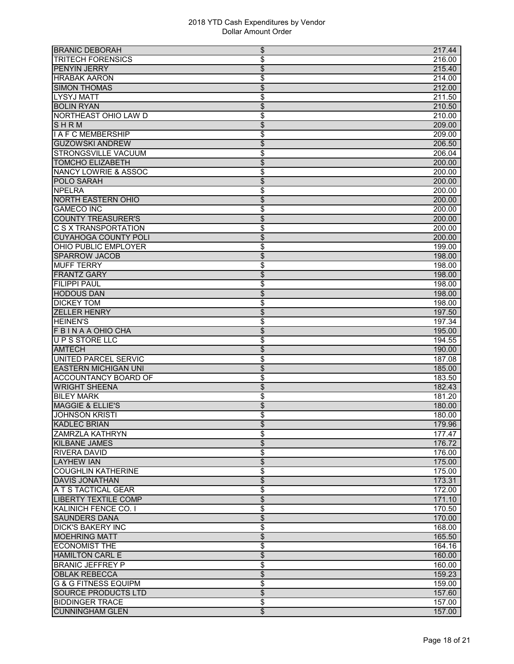| <b>BRANIC DEBORAH</b>           | \$<br>217.44                       |
|---------------------------------|------------------------------------|
| <b>TRITECH FORENSICS</b>        | \$<br>216.00                       |
| PENYIN JERRY                    | \$<br>215.40                       |
| <b>HRABAK AARON</b>             | \$<br>214.00                       |
| <b>SIMON THOMAS</b>             | \$<br>212.00                       |
| <b>LYSYJ MATT</b>               | \$<br>211.50                       |
| <b>BOLIN RYAN</b>               | \$<br>210.50                       |
| NORTHEAST OHIO LAW D            | \$<br>210.00                       |
| SHRM                            | \$<br>209.00                       |
| <b>I A F C MEMBERSHIP</b>       | \$<br>209.00                       |
| <b>GUZOWSKI ANDREW</b>          | \$<br>206.50                       |
| STRONGSVILLE VACUUM             | \$<br>206.04                       |
| <b>TOMCHO ELIZABETH</b>         | \$<br>200.00                       |
| <b>NANCY LOWRIE &amp; ASSOC</b> | \$<br>200.00                       |
| <b>POLO SARAH</b>               | \$<br>200.00                       |
| <b>NPELRA</b>                   | \$<br>200.00                       |
| <b>NORTH EASTERN OHIO</b>       | \$<br>200.00                       |
| <b>GAMECO INC</b>               | \$<br>200.00                       |
| <b>COUNTY TREASURER'S</b>       | \$<br>200.00                       |
| <b>C S X TRANSPORTATION</b>     | \$<br>200.00                       |
| <b>CUYAHOGA COUNTY POLI</b>     | \$<br>200.00                       |
| OHIO PUBLIC EMPLOYER            | \$<br>199.00                       |
| <b>SPARROW JACOB</b>            | \$<br>198.00                       |
| <b>MUFF TERRY</b>               | \$<br>198.00                       |
| <b>FRANTZ GARY</b>              | \$<br>198.00                       |
| <b>FILIPPI PAUL</b>             | \$<br>198.00                       |
| <b>HODOUS DAN</b>               | \$<br>198.00                       |
| <b>DICKEY TOM</b>               | \$<br>198.00                       |
| <b>ZELLER HENRY</b>             | \$<br>197.50                       |
| <b>HEINEN'S</b>                 | \$<br>197.34                       |
| <b>FBINAA OHIO CHA</b>          | $\overline{\$}$<br>195.00          |
| UPS STORE LLC                   | \$<br>194.55                       |
| <b>AMTECH</b>                   | \$<br>190.00                       |
| UNITED PARCEL SERVIC            | \$<br>187.08                       |
| <b>EASTERN MICHIGAN UNI</b>     | \$<br>185.00                       |
| <b>ACCOUNTANCY BOARD OF</b>     | \$<br>183.50                       |
| <b>WRIGHT SHEENA</b>            | \$<br>182.43                       |
| <b>BILEY MARK</b>               | \$<br>181.20                       |
| <b>MAGGIE &amp; ELLIE'S</b>     | \$<br>180.00                       |
| <b>JOHNSON KRISTI</b>           | \$<br>180.00                       |
| <b>KADLEC BRIAN</b>             | 179.96<br>\$                       |
| <b>ZAMRZLA KATHRYN</b>          | \$<br>177.47                       |
| <b>KILBANE JAMES</b>            | \$<br>176.72                       |
| <b>RIVERA DAVID</b>             | \$<br>176.00                       |
| <b>LAYHEW IAN</b>               | $\overline{\$}$<br>175.00          |
| <b>COUGHLIN KATHERINE</b>       | \$<br>175.00                       |
| <b>DAVIS JONATHAN</b>           | \$<br>173.31                       |
| A T S TACTICAL GEAR             | \$<br>172.00                       |
| <b>LIBERTY TEXTILE COMP</b>     | \$<br>171.10                       |
| <b>KALINICH FENCE CO. I</b>     | \$<br>170.50                       |
| <b>SAUNDERS DANA</b>            | \$<br>170.00                       |
| <b>DICK'S BAKERY INC</b>        | \$<br>168.00                       |
| <b>MOEHRING MATT</b>            | \$<br>165.50                       |
| <b>ECONOMIST THE</b>            | \$<br>164.16                       |
| <b>HAMILTON CARL E</b>          | \$<br>160.00                       |
| <b>BRANIC JEFFREY P</b>         | \$<br>160.00                       |
| <b>OBLAK REBECCA</b>            | \$<br>159.23                       |
| <b>G &amp; G FITNESS EQUIPM</b> | \$<br>159.00                       |
| <b>SOURCE PRODUCTS LTD</b>      | $\overline{\$}$<br>157.60          |
| <b>BIDDINGER TRACE</b>          | \$<br>157.00                       |
| <b>CUNNINGHAM GLEN</b>          | $\overline{\mathcal{L}}$<br>157.00 |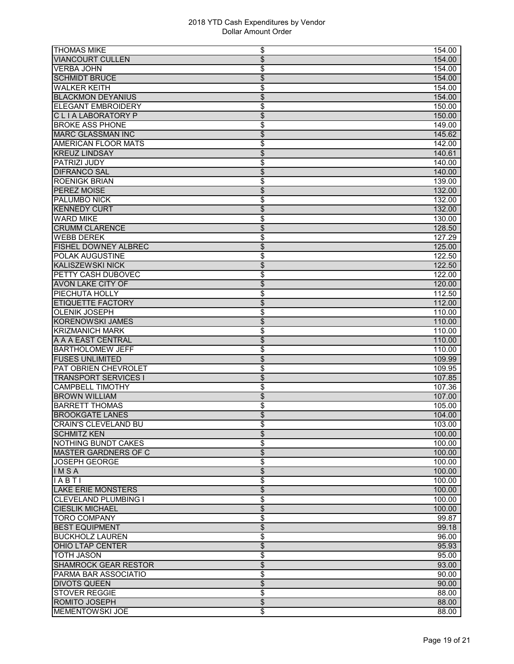| <b>THOMAS MIKE</b>            | \$<br>154.00                       |
|-------------------------------|------------------------------------|
| <b>VIANCOURT CULLEN</b>       | $\overline{\mathcal{L}}$<br>154.00 |
| <b>VERBA JOHN</b>             | \$<br>154.00                       |
| <b>SCHMIDT BRUCE</b>          | \$<br>154.00                       |
| <b>WALKER KEITH</b>           | \$<br>154.00                       |
| <b>BLACKMON DEYANIUS</b>      | \$<br>154.00                       |
| <b>ELEGANT EMBROIDERY</b>     | \$<br>150.00                       |
| CLIALABORATORY P              | \$<br>150.00                       |
| <b>BROKE ASS PHONE</b>        | \$<br>149.00                       |
| <b>MARC GLASSMAN INC</b>      | $\overline{\$}$<br>145.62          |
| <b>AMERICAN FLOOR MATS</b>    | \$<br>142.00                       |
| <b>KREUZ LINDSAY</b>          | \$<br>140.61                       |
| PATRIZI JUDY                  | \$<br>140.00                       |
| <b>DIFRANCO SAL</b>           | \$<br>140.00                       |
| <b>ROENIGK BRIAN</b>          | \$<br>139.00                       |
| <b>PEREZ MOISE</b>            | \$<br>132.00                       |
| <b>PALUMBO NICK</b>           | \$<br>132.00                       |
| <b>KENNEDY CURT</b>           | \$<br>132.00                       |
| <b>WARD MIKE</b>              | \$<br>130.00                       |
| <b>CRUMM CLARENCE</b>         | $\overline{\mathcal{S}}$<br>128.50 |
| <b>WEBB DEREK</b>             | \$<br>127.29                       |
| <b>FISHEL DOWNEY ALBREC</b>   | \$<br>125.00                       |
| <b>POLAK AUGUSTINE</b>        | \$<br>122.50                       |
| <b>KALISZEWSKI NICK</b>       | \$<br>122.50                       |
| PETTY CASH DUBOVEC            | \$<br>122.00                       |
| <b>AVON LAKE CITY OF</b>      | \$<br>120.00                       |
| PIECHUTA HOLLY                | \$<br>112.50                       |
| <b>ETIQUETTE FACTORY</b>      | \$<br>112.00                       |
| <b>OLENIK JOSEPH</b>          | \$<br>110.00                       |
| <b>KORENOWSKI JAMES</b>       | \$<br>110.00                       |
| <b>KRIZMANICH MARK</b>        | \$<br>110.00                       |
| A A A EAST CENTRAL            | \$<br>110.00                       |
| <b>BARTHOLOMEW JEFF</b>       | \$<br>110.00                       |
| <b>FUSES UNLIMITED</b>        | \$<br>109.99                       |
| PAT OBRIEN CHEVROLET          | \$<br>109.95                       |
| <b>TRANSPORT SERVICES I</b>   | \$<br>107.85                       |
| <b>CAMPBELL TIMOTHY</b>       | \$<br>107.36                       |
| <b>BROWN WILLIAM</b>          | \$<br>107.00                       |
| <b>BARRETT THOMAS</b>         | \$<br>105.00                       |
| <b>BROOKGATE LANES</b>        | \$<br>104.00                       |
| CRAIN'S CLEVELAND BU          | 103.00<br>\$                       |
| <b>SCHMITZ KEN</b>            | \$<br>100.00                       |
| <b>NOTHING BUNDT CAKES</b>    | \$<br>100.00                       |
| <b>MASTER GARDNERS OF C</b>   | $\overline{\$}$<br>100.00          |
| <b>JOSEPH GEORGE</b>          | \$<br>100.00                       |
| IMSA                          | \$<br>100.00                       |
| IABTI                         | \$<br>100.00                       |
| <b>LAKE ERIE MONSTERS</b>     | \$<br>100.00                       |
| <b>I</b> CLEVELAND PLUMBING I | \$<br>100.00                       |
| <b>CIESLIK MICHAEL</b>        | \$<br>100.00                       |
| <b>TORO COMPANY</b>           | \$<br>99.87                        |
| <b>BEST EQUIPMENT</b>         | $\overline{\mathcal{L}}$<br>99.18  |
| <b>BUCKHOLZ LAUREN</b>        | \$<br>96.00                        |
| OHIO LTAP CENTER              | \$<br>95.93                        |
| <b>TOTH JASON</b>             | \$<br>95.00                        |
| <b>SHAMROCK GEAR RESTOR</b>   | \$<br>93.00                        |
| PARMA BAR ASSOCIATIO          | \$<br>90.00                        |
| <b>DIVOTS QUEEN</b>           | \$<br>90.00                        |
| <b>STOVER REGGIE</b>          | \$<br>88.00                        |
| <b>ROMITO JOSEPH</b>          | $\overline{\$}$<br>88.00           |
| <b>MEMENTOWSKI JOE</b>        | \$<br>88.00                        |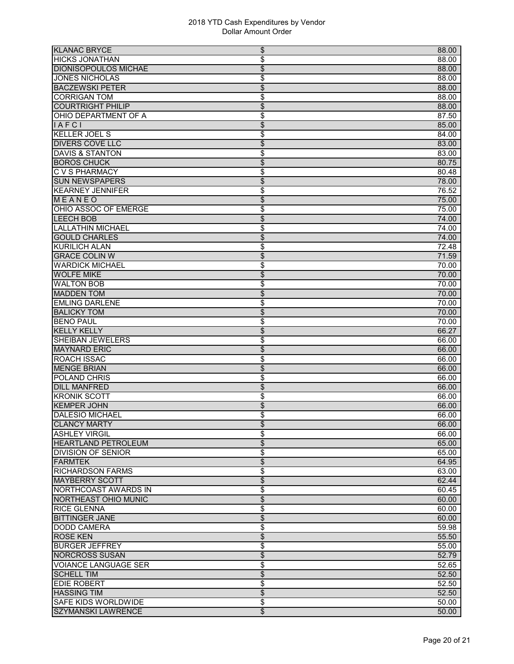| <b>KLANAC BRYCE</b>                              | \$<br>88.00                |
|--------------------------------------------------|----------------------------|
| <b>HICKS JONATHAN</b>                            | \$<br>88.00                |
| <b>DIONISOPOULOS MICHAE</b>                      | \$<br>88.00                |
| <b>JONES NICHOLAS</b>                            | \$<br>88.00                |
| <b>BACZEWSKI PETER</b>                           | \$<br>88.00                |
| <b>CORRIGAN TOM</b>                              | \$<br>88.00                |
| <b>COURTRIGHT PHILIP</b>                         | \$<br>88.00                |
| OHIO DEPARTMENT OF A                             | \$<br>87.50                |
| <b>IAFCI</b>                                     | \$<br>85.00                |
| <b>KELLER JOEL S</b>                             | \$<br>84.00                |
| <b>DIVERS COVE LLC</b>                           | \$<br>83.00                |
| <b>DAVIS &amp; STANTON</b>                       | \$<br>83.00                |
| <b>BOROS CHUCK</b>                               | \$<br>80.75                |
| <b>CVS PHARMACY</b>                              | \$<br>80.48                |
| <b>SUN NEWSPAPERS</b>                            | \$<br>78.00                |
| <b>KEARNEY JENNIFER</b>                          | \$<br>76.52                |
| MEANEO                                           | \$<br>75.00                |
| OHIO ASSOC OF EMERGE                             | \$<br>75.00                |
| <b>LEECH BOB</b>                                 | \$<br>74.00                |
| <b>LALLATHIN MICHAEL</b>                         | \$<br>74.00                |
| <b>GOULD CHARLES</b>                             | \$<br>74.00                |
| <b>KURILICH ALAN</b>                             | \$<br>72.48                |
| <b>GRACE COLIN W</b>                             | \$<br>71.59                |
| <b>WARDICK MICHAEL</b>                           | \$<br>70.00                |
| <b>WOLFE MIKE</b>                                | \$<br>70.00                |
| <b>WALTON BOB</b>                                | \$<br>70.00                |
| <b>MADDEN TOM</b>                                | \$<br>70.00                |
| <b>EMLING DARLENE</b>                            | \$<br>70.00                |
| <b>BALICKY TOM</b>                               | \$<br>70.00                |
| <b>BENO PAUL</b>                                 | \$<br>70.00                |
| <b>KELLY KELLY</b>                               | \$<br>66.27                |
| <b>SHEIBAN JEWELERS</b>                          | \$<br>66.00                |
| <b>MAYNARD ERIC</b>                              | \$<br>66.00                |
| <b>ROACH ISSAC</b>                               | \$<br>66.00                |
| <b>MENGE BRIAN</b>                               | \$<br>66.00                |
| POLAND CHRIS                                     | \$<br>66.00                |
| <b>DILL MANFRED</b>                              | \$<br>66.00                |
| <b>KRONIK SCOTT</b>                              | \$<br>66.00                |
| <b>KEMPER JOHN</b>                               | \$<br>66.00                |
| <b>DALESIO MICHAEL</b>                           | \$<br>66.00                |
| <b>CLANCY MARTY</b>                              | 66.00<br>\$                |
| <b>ASHLEY VIRGIL</b>                             | \$<br>66.00                |
| <b>HEARTLAND PETROLEUM</b>                       | \$<br>65.00                |
| <b>DIVISION OF SENIOR</b>                        | \$<br>65.00                |
| <b>FARMTEK</b>                                   | \$<br>64.95                |
| <b>RICHARDSON FARMS</b>                          | \$<br>63.00                |
| <b>MAYBERRY SCOTT</b>                            | \$<br>62.44                |
| <b>NORTHCOAST AWARDS IN</b>                      | \$<br>60.45                |
| <b>NORTHEAST OHIO MUNIC</b>                      | \$<br>60.00                |
| <b>RICE GLENNA</b>                               | \$<br>60.00                |
| <b>BITTINGER JANE</b>                            | \$<br>60.00                |
| <b>DODD CAMERA</b>                               | \$<br>59.98                |
| <b>ROSE KEN</b>                                  | \$<br>55.50                |
| <b>BURGER JEFFREY</b>                            | 55.00                      |
| <b>NORCROSS SUSAN</b>                            | \$<br>\$<br>52.79          |
| <b>VOIANCE LANGUAGE SER</b>                      | 52.65                      |
|                                                  | \$                         |
| <b>SCHELL TIM</b><br><b>EDIE ROBERT</b>          | \$<br>52.50<br>52.50       |
|                                                  | \$                         |
| <b>HASSING TIM</b><br><b>SAFE KIDS WORLDWIDE</b> | \$<br>52.50                |
| <b>SZYMANSKI LAWRENCE</b>                        | \$<br>50.00<br>\$<br>50.00 |
|                                                  |                            |